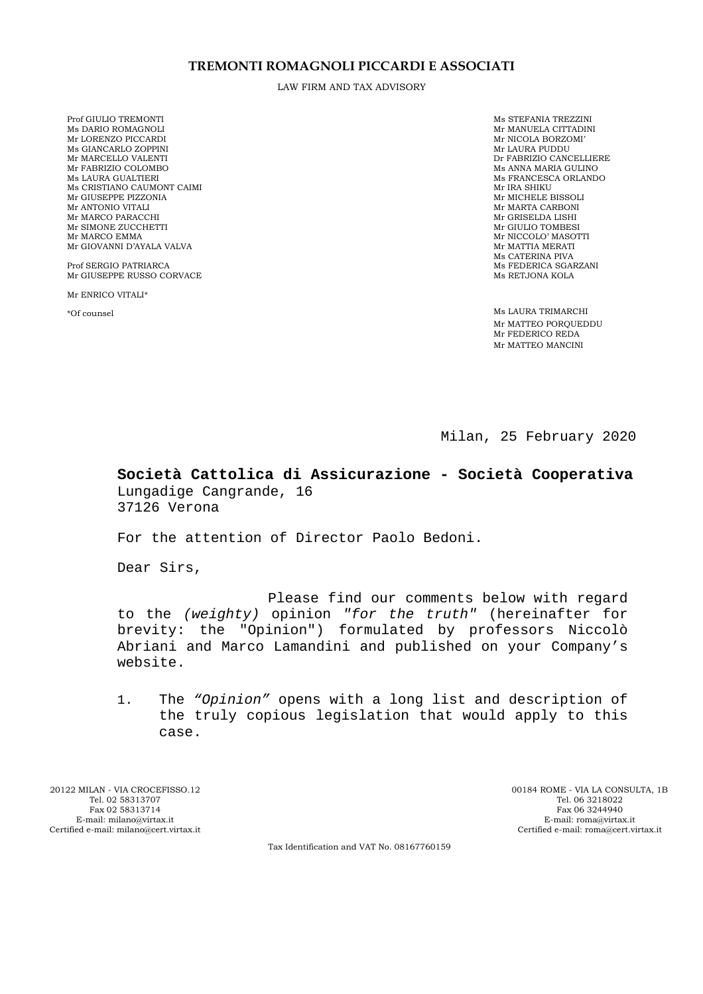#### **TREMONTI ROMAGNOLI PICCARDI E ASSOCIATI**

LAW FIRM AND TAX ADVISORY

Prof GIULIO TREMONTI NS DARIO ROMAGNOLI NE STEFANIA TREZZINI MS STEFANIA TREZZINI MS DARIO ROMAGNOLI NE STEFANIA TREZZINI Mr LORENZO PICCARDI Mr NICOLA BORZOMI' Ms GIANCARLO ZOPPINI<br>Mr MARCELLO VALENTI Mr MARCELLO VALENTI DRI SON ESSENCIA E EN ENGLES DE FABRIZIO CANCELLIERE DE FABRIZIO CANCELLIERE DE SON EN ENGLES DE FABRIZIO COLOMBO Mr FABRIZIO COLOMBO Ms ANNA MARIA GULINO Ms CRISTIANO CAUMONT CAIMI Mr IRA SHIKU Mr GIUSEPPE PIZZONIA Mr ANTONIO VITALI MARTA CARBONI Mr MARCO PARACCHI NARO ANNO 1999 NO SERIE DA LISHI MARCO PARACCHI NA MR GRISELDA LISHI NA MR GRISELDA LISHI NA Mr SIMONE ZUCCHETTI Mr GIULIO TOMBESI Mr GIOVANNI D'AYALA VALVA

Prof SERGIO PATRIARCA Ms FEDERICA SGARZANI Mr GIUSEPPE RUSSO CORVACE NEWSLET AND MALE OF THE MAGNIFUL MANUSEPPE RUSSO CORVACE Mr GIUSEPPE RUSSO CORVACE

Mr ENRICO VITALI\*

Mr MANUELA CITTADINI Mr NICOLA BORZOMI' Ms FRANCESCA ORLANDO Mr IRA SHIKU Mr NICCOLO' MASOTTI<br>Mr MATTIA MERATI Ms CATERINA PIVA

\*Of counsel Ms LAURA TRIMARCHI Mr MATTEO PORQUEDDU Mr FEDERICO REDA Mr MATTEO MANCINI

Milan, 25 February 2020

**Società Cattolica di Assicurazione - Società Cooperativa**  Lungadige Cangrande, 16 37126 Verona

For the attention of Director Paolo Bedoni.

Dear Sirs,

Please find our comments below with regard to the *(weighty)* opinion *"for the truth"* (hereinafter for brevity: the "Opinion") formulated by professors Niccolò Abriani and Marco Lamandini and published on your Company's website.

1. The *"Opinion"* opens with a long list and description of the truly copious legislation that would apply to this case.

20122 MILAN - VIA CROCEFISSO.12 00184 ROME - VIA LA CONSULTA, 1B Tel. 02 58313707 Tel. 06 3218022  $E$ -mail: milano@virtax.it Certified e-mail: milano@cert.virtax.it

Fax 02 58313714 Fax 06 3244940 Fax 06 3244940 Fax 06 3244940 Fax 06 3244940 Fax 06 3244940 Certified e-mail: roma@cert.virtax.it

Tax Identification and VAT No. 08167760159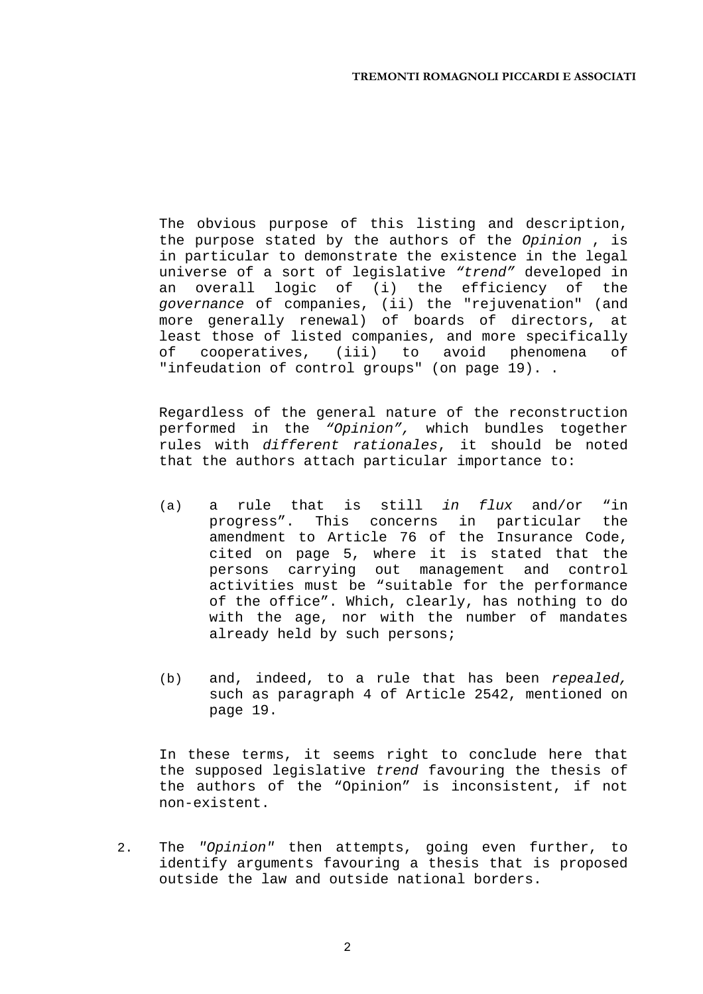The obvious purpose of this listing and description, the purpose stated by the authors of the *Opinion* , is in particular to demonstrate the existence in the legal universe of a sort of legislative *"trend"* developed in an overall logic of (i) the efficiency of the *governance* of companies, (ii) the "rejuvenation" (and more generally renewal) of boards of directors, at least those of listed companies, and more specifically of cooperatives, (iii) to avoid phenomena of "infeudation of control groups" (on page 19)..

Regardless of the general nature of the reconstruction performed in the *"Opinion",* which bundles together rules with *different rationales*, it should be noted that the authors attach particular importance to:

- (a) a rule that is still *in flux* and/or "in progress". This concerns in particular the amendment to Article 76 of the Insurance Code, cited on page 5, where it is stated that the persons carrying out management and control activities must be "suitable for the performance of the office". Which, clearly, has nothing to do with the age, nor with the number of mandates already held by such persons;
- (b) and, indeed, to a rule that has been *repealed,*  such as paragraph 4 of Article 2542, mentioned on page 19.

In these terms, it seems right to conclude here that the supposed legislative *trend* favouring the thesis of the authors of the "Opinion" is inconsistent, if not non-existent.

2. The *"Opinion"* then attempts, going even further, to identify arguments favouring a thesis that is proposed outside the law and outside national borders.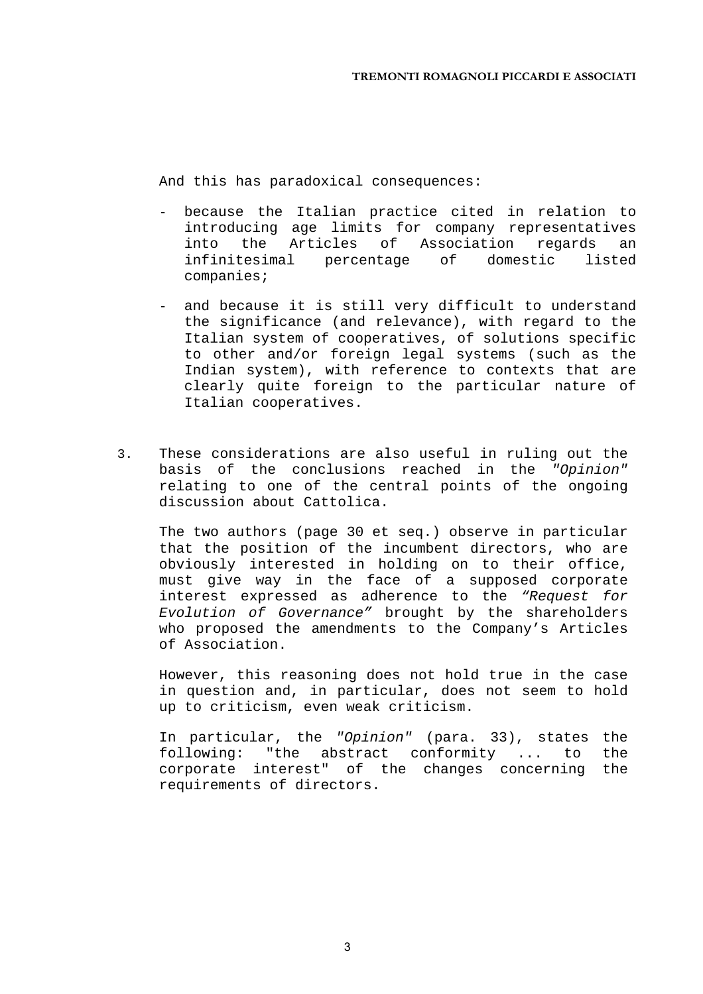And this has paradoxical consequences:

- because the Italian practice cited in relation to introducing age limits for company representatives into the Articles of Association regards an infinitesimal percentage of domestic listed companies;
- and because it is still very difficult to understand the significance (and relevance), with regard to the Italian system of cooperatives, of solutions specific to other and/or foreign legal systems (such as the Indian system), with reference to contexts that are clearly quite foreign to the particular nature of Italian cooperatives.
- 3. These considerations are also useful in ruling out the basis of the conclusions reached in the *"Opinion"*  relating to one of the central points of the ongoing discussion about Cattolica.

The two authors (page 30 et seq.) observe in particular that the position of the incumbent directors, who are obviously interested in holding on to their office, must give way in the face of a supposed corporate interest expressed as adherence to the *"Request for Evolution of Governance"* brought by the shareholders who proposed the amendments to the Company's Articles of Association.

However, this reasoning does not hold true in the case in question and, in particular, does not seem to hold up to criticism, even weak criticism.

In particular, the *"Opinion"* (para. 33), states the following: "the abstract conformity ... to the corporate interest" of the changes concerning the requirements of directors.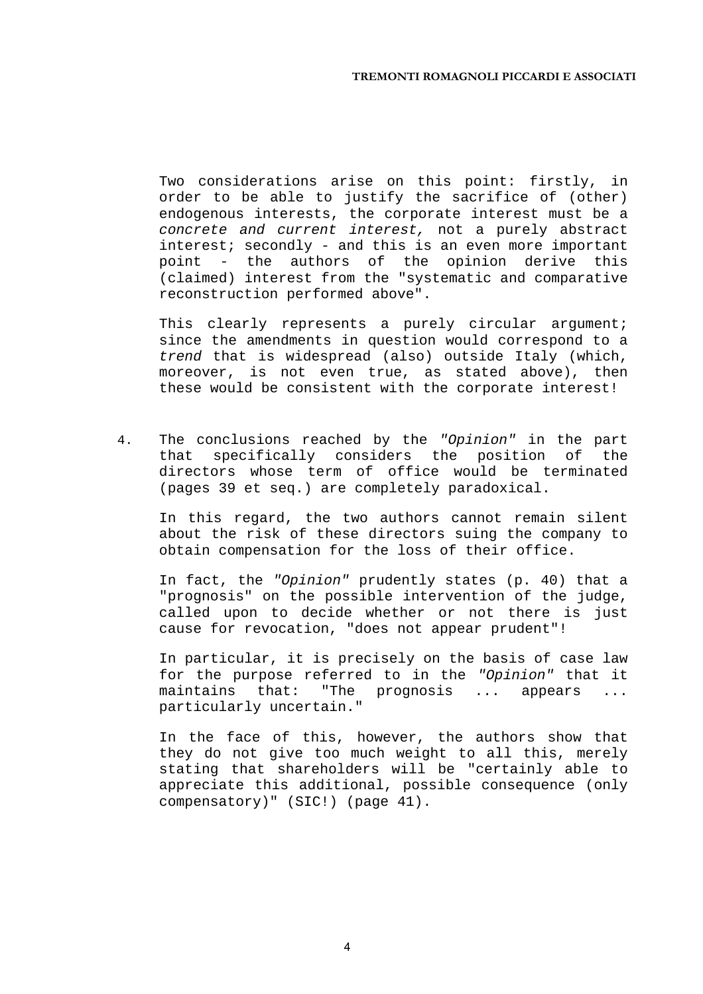Two considerations arise on this point: firstly, in order to be able to justify the sacrifice of (other) endogenous interests, the corporate interest must be a *concrete and current interest,* not a purely abstract interest; secondly - and this is an even more important point - the authors of the opinion derive this (claimed) interest from the "systematic and comparative reconstruction performed above".

This clearly represents a purely circular argument; since the amendments in question would correspond to a *trend* that is widespread (also) outside Italy (which, moreover, is not even true, as stated above), then these would be consistent with the corporate interest!

4. The conclusions reached by the *"Opinion"* in the part that specifically considers the position of the directors whose term of office would be terminated (pages 39 et seq.) are completely paradoxical.

In this regard, the two authors cannot remain silent about the risk of these directors suing the company to obtain compensation for the loss of their office.

In fact, the *"Opinion"* prudently states (p. 40) that a "prognosis" on the possible intervention of the judge, called upon to decide whether or not there is just cause for revocation, "does not appear prudent"!

In particular, it is precisely on the basis of case law for the purpose referred to in the *"Opinion"* that it maintains that: "The prognosis ... appears ... particularly uncertain."

In the face of this, however, the authors show that they do not give too much weight to all this, merely stating that shareholders will be "certainly able to appreciate this additional, possible consequence (only compensatory)" (SIC!) (page 41).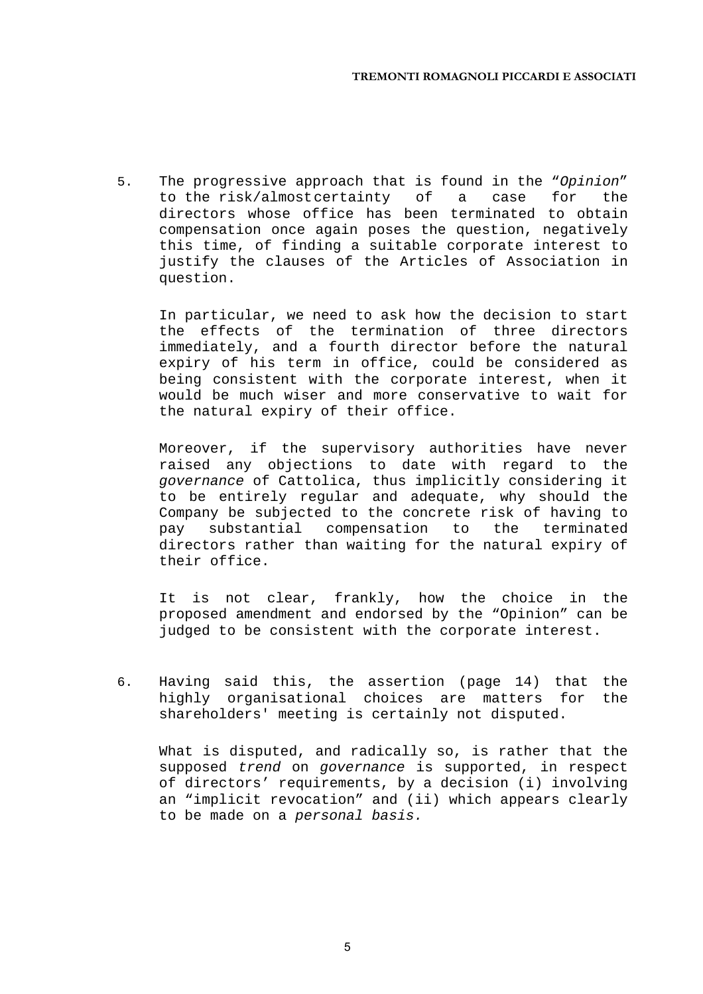5. The progressive approach that is found in the "*Opinion*" to the risk/almost certainty of a case for the directors whose office has been terminated to obtain compensation once again poses the question, negatively this time, of finding a suitable corporate interest to justify the clauses of the Articles of Association in question.

In particular, we need to ask how the decision to start the effects of the termination of three directors immediately, and a fourth director before the natural expiry of his term in office, could be considered as being consistent with the corporate interest, when it would be much wiser and more conservative to wait for the natural expiry of their office.

Moreover, if the supervisory authorities have never raised any objections to date with regard to the *governance* of Cattolica, thus implicitly considering it to be entirely regular and adequate, why should the Company be subjected to the concrete risk of having to pay substantial compensation to the terminated directors rather than waiting for the natural expiry of their office.

It is not clear, frankly, how the choice in the proposed amendment and endorsed by the "Opinion" can be judged to be consistent with the corporate interest.

6. Having said this, the assertion (page 14) that the highly organisational choices are matters for the shareholders' meeting is certainly not disputed.

What is disputed, and radically so, is rather that the supposed *trend* on *governance* is supported, in respect of directors' requirements, by a decision (i) involving an "implicit revocation" and (ii) which appears clearly to be made on a *personal basis.* 

5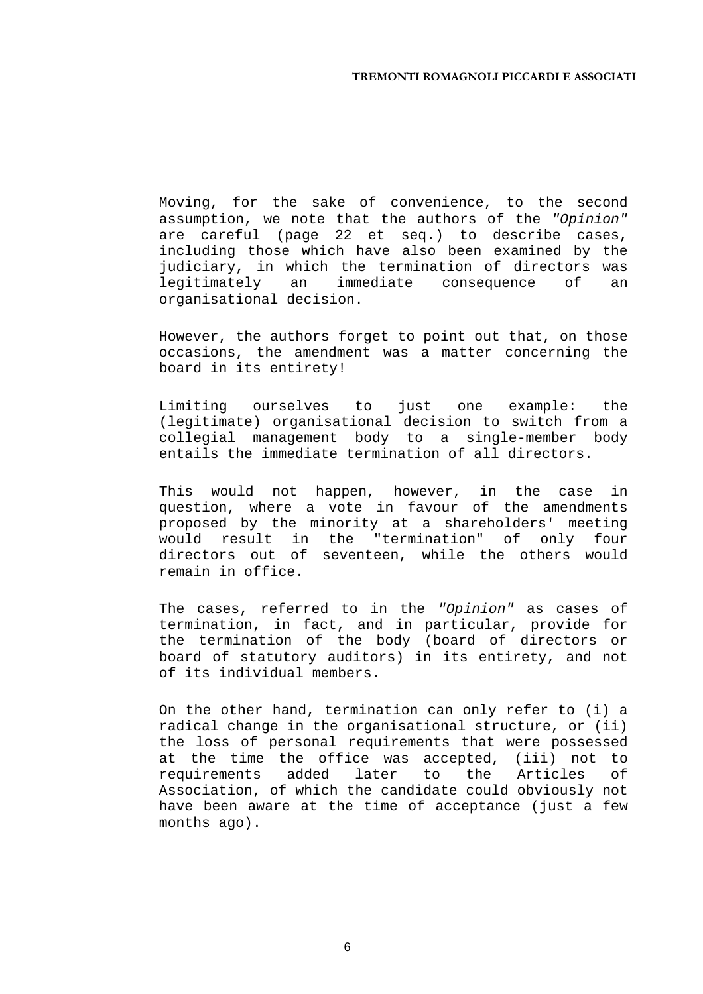Moving, for the sake of convenience, to the second assumption, we note that the authors of the *"Opinion"*  are careful (page 22 et seq.) to describe cases, including those which have also been examined by the judiciary, in which the termination of directors was legitimately an immediate consequence of an organisational decision.

However, the authors forget to point out that, on those occasions, the amendment was a matter concerning the board in its entirety!

Limiting ourselves to just one example: the (legitimate) organisational decision to switch from a collegial management body to a single-member body entails the immediate termination of all directors.

This would not happen, however, in the case in question, where a vote in favour of the amendments proposed by the minority at a shareholders' meeting would result in the "termination" of only four directors out of seventeen, while the others would remain in office.

The cases, referred to in the *"Opinion"* as cases of termination, in fact, and in particular, provide for the termination of the body (board of directors or board of statutory auditors) in its entirety, and not of its individual members.

On the other hand, termination can only refer to (i) a radical change in the organisational structure, or (ii) the loss of personal requirements that were possessed at the time the office was accepted, (iii) not to requirements added later to the Articles of Association, of which the candidate could obviously not have been aware at the time of acceptance (just a few months ago).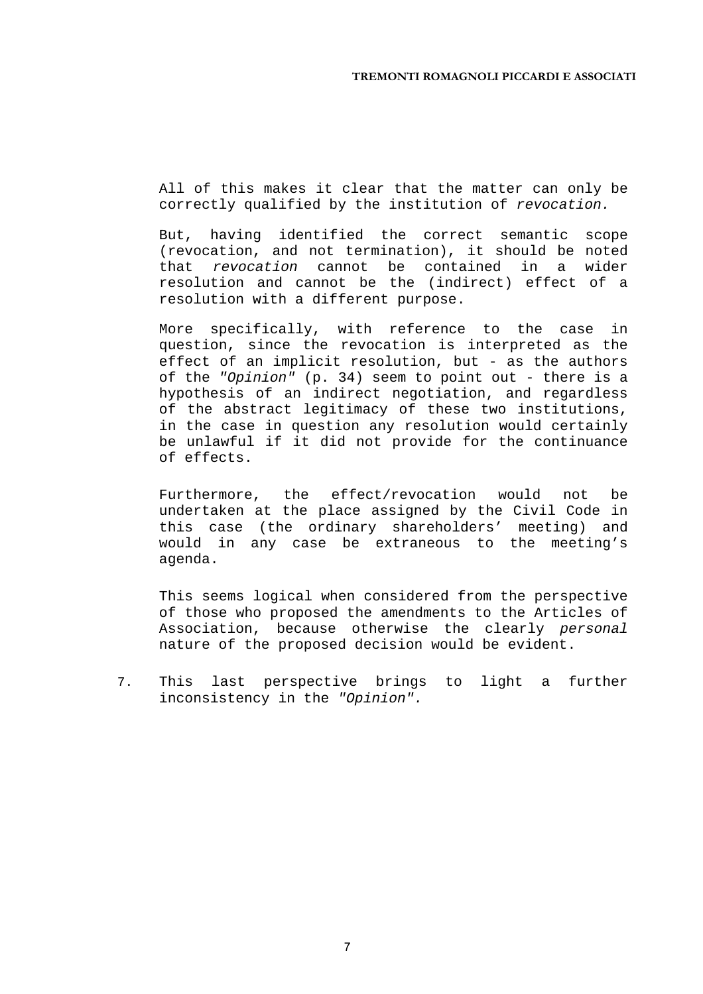All of this makes it clear that the matter can only be correctly qualified by the institution of *revocation.*

But, having identified the correct semantic scope (revocation, and not termination), it should be noted that *revocation* cannot be contained in a wider resolution and cannot be the (indirect) effect of a resolution with a different purpose.

More specifically, with reference to the case in question, since the revocation is interpreted as the effect of an implicit resolution, but - as the authors of the *"Opinion"* (p. 34) seem to point out - there is a hypothesis of an indirect negotiation, and regardless of the abstract legitimacy of these two institutions, in the case in question any resolution would certainly be unlawful if it did not provide for the continuance of effects.

Furthermore, the effect/revocation would not be undertaken at the place assigned by the Civil Code in this case (the ordinary shareholders' meeting) and would in any case be extraneous to the meeting's agenda.

This seems logical when considered from the perspective of those who proposed the amendments to the Articles of Association, because otherwise the clearly *personal*  nature of the proposed decision would be evident.

7. This last perspective brings to light a further inconsistency in the *"Opinion".* 

7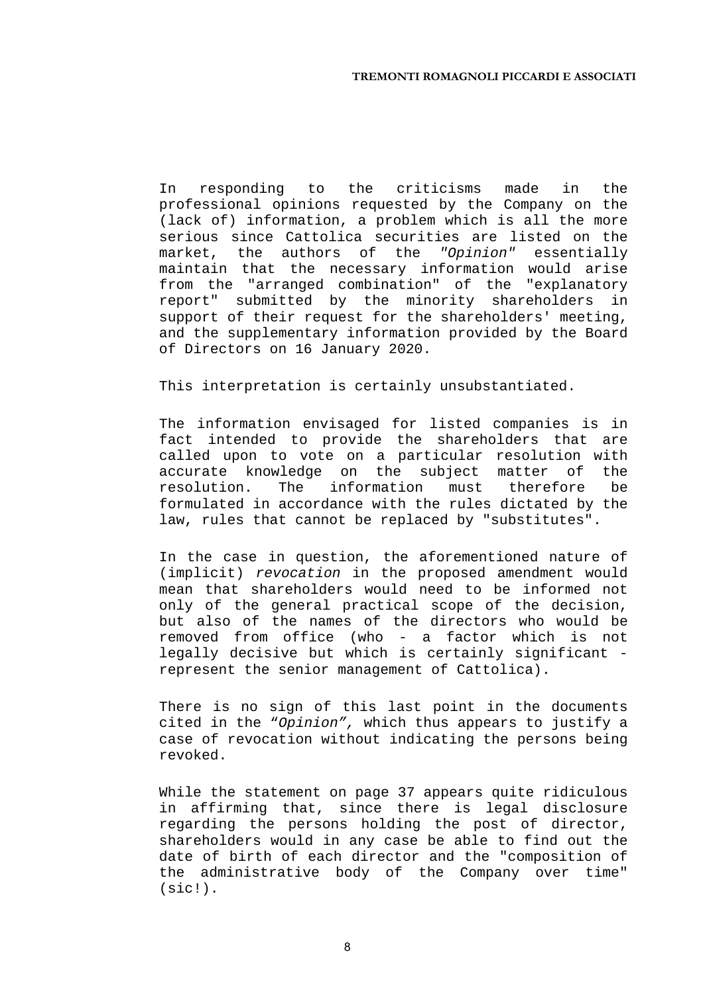In responding to the criticisms made in the professional opinions requested by the Company on the (lack of) information, a problem which is all the more serious since Cattolica securities are listed on the market, the authors of the *"Opinion"* essentially maintain that the necessary information would arise from the "arranged combination" of the "explanatory report" submitted by the minority shareholders in support of their request for the shareholders' meeting, and the supplementary information provided by the Board of Directors on 16 January 2020.

This interpretation is certainly unsubstantiated.

The information envisaged for listed companies is in fact intended to provide the shareholders that are called upon to vote on a particular resolution with accurate knowledge on the subject matter of the resolution. The information must therefore be formulated in accordance with the rules dictated by the law, rules that cannot be replaced by "substitutes".

In the case in question, the aforementioned nature of (implicit) *revocation* in the proposed amendment would mean that shareholders would need to be informed not only of the general practical scope of the decision, but also of the names of the directors who would be removed from office (who - a factor which is not legally decisive but which is certainly significant represent the senior management of Cattolica).

There is no sign of this last point in the documents cited in the "*Opinion",* which thus appears to justify a case of revocation without indicating the persons being revoked.

While the statement on page 37 appears quite ridiculous in affirming that, since there is legal disclosure regarding the persons holding the post of director, shareholders would in any case be able to find out the date of birth of each director and the "composition of the administrative body of the Company over time" (sic!).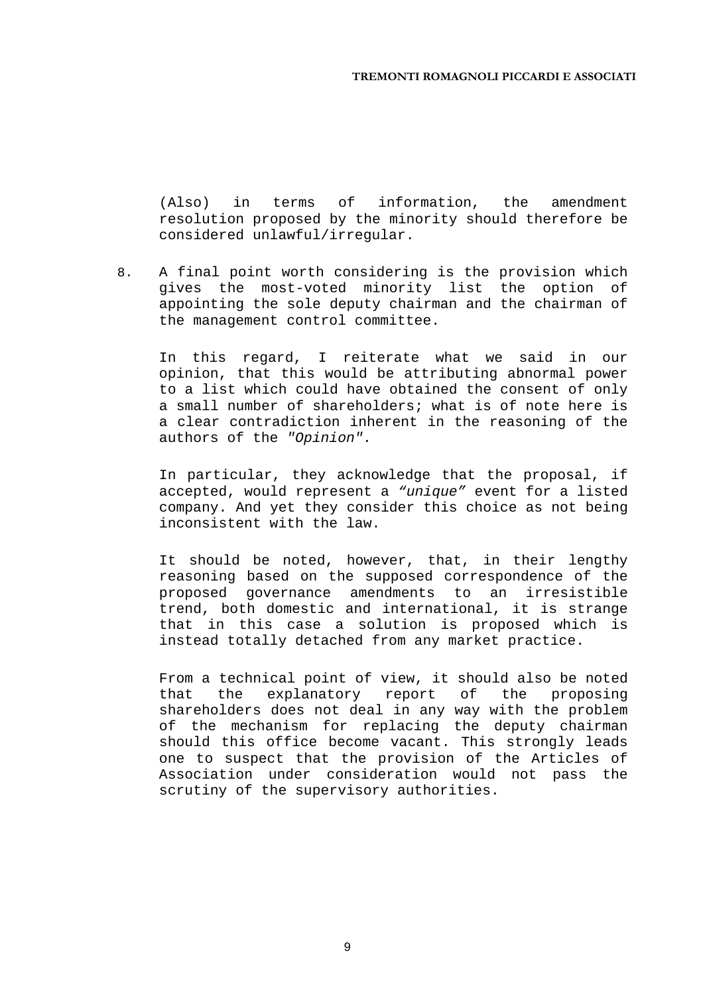(Also) in terms of information, the amendment resolution proposed by the minority should therefore be considered unlawful/irregular.

8. A final point worth considering is the provision which gives the most-voted minority list the option of appointing the sole deputy chairman and the chairman of the management control committee.

In this regard, I reiterate what we said in our opinion, that this would be attributing abnormal power to a list which could have obtained the consent of only a small number of shareholders; what is of note here is a clear contradiction inherent in the reasoning of the authors of the *"Opinion".* 

In particular, they acknowledge that the proposal, if accepted, would represent a *"unique"* event for a listed company. And yet they consider this choice as not being inconsistent with the law.

It should be noted, however, that, in their lengthy reasoning based on the supposed correspondence of the proposed governance amendments to an irresistible trend, both domestic and international, it is strange that in this case a solution is proposed which is instead totally detached from any market practice.

From a technical point of view, it should also be noted that the explanatory report of the proposing shareholders does not deal in any way with the problem of the mechanism for replacing the deputy chairman should this office become vacant. This strongly leads one to suspect that the provision of the Articles of Association under consideration would not pass the scrutiny of the supervisory authorities.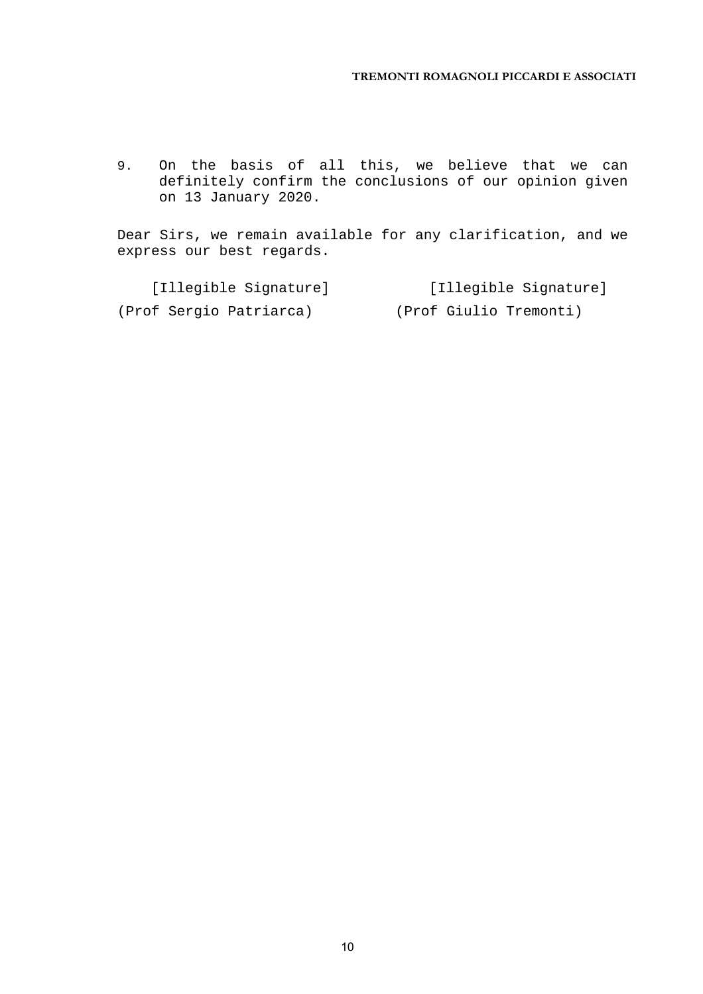#### **TREMONTI ROMAGNOLI PICCARDI E ASSOCIATI**

9. On the basis of all this, we believe that we can definitely confirm the conclusions of our opinion given on 13 January 2020.

Dear Sirs, we remain available for any clarification, and we express our best regards.

| [Illegible Signature]   | [Illegible Signature]  |
|-------------------------|------------------------|
| (Prof Sergio Patriarca) | (Prof Giulio Tremonti) |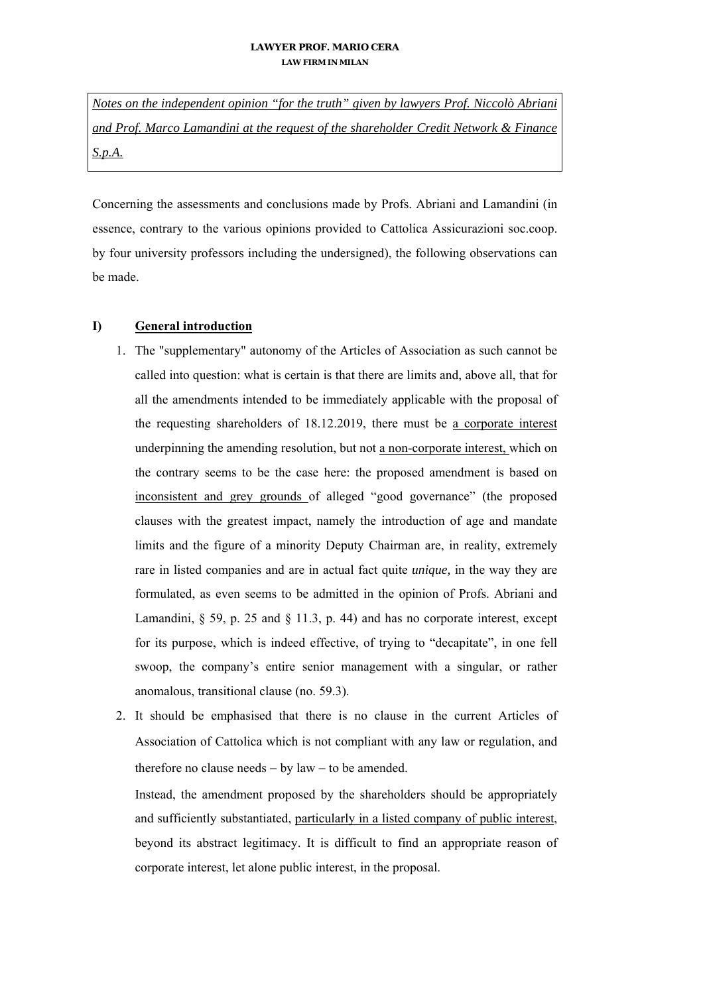*Notes on the independent opinion "for the truth" given by lawyers Prof. Niccolò Abriani and Prof. Marco Lamandini at the request of the shareholder Credit Network & Finance S.p.A.* 

Concerning the assessments and conclusions made by Profs. Abriani and Lamandini (in essence, contrary to the various opinions provided to Cattolica Assicurazioni soc.coop. by four university professors including the undersigned), the following observations can be made.

### **I) General introduction**

- 1. The "supplementary" autonomy of the Articles of Association as such cannot be called into question: what is certain is that there are limits and, above all, that for all the amendments intended to be immediately applicable with the proposal of the requesting shareholders of 18.12.2019, there must be a corporate interest underpinning the amending resolution, but not a non-corporate interest, which on the contrary seems to be the case here: the proposed amendment is based on inconsistent and grey grounds of alleged "good governance" (the proposed clauses with the greatest impact, namely the introduction of age and mandate limits and the figure of a minority Deputy Chairman are, in reality, extremely rare in listed companies and are in actual fact quite *unique,* in the way they are formulated, as even seems to be admitted in the opinion of Profs. Abriani and Lamandini, § 59, p. 25 and § 11.3, p. 44) and has no corporate interest, except for its purpose, which is indeed effective, of trying to "decapitate", in one fell swoop, the company's entire senior management with a singular, or rather anomalous, transitional clause (no. 59.3).
- 2. It should be emphasised that there is no clause in the current Articles of Association of Cattolica which is not compliant with any law or regulation, and therefore no clause needs  $-$  by law  $-$  to be amended.

Instead, the amendment proposed by the shareholders should be appropriately and sufficiently substantiated, particularly in a listed company of public interest, beyond its abstract legitimacy. It is difficult to find an appropriate reason of corporate interest, let alone public interest, in the proposal.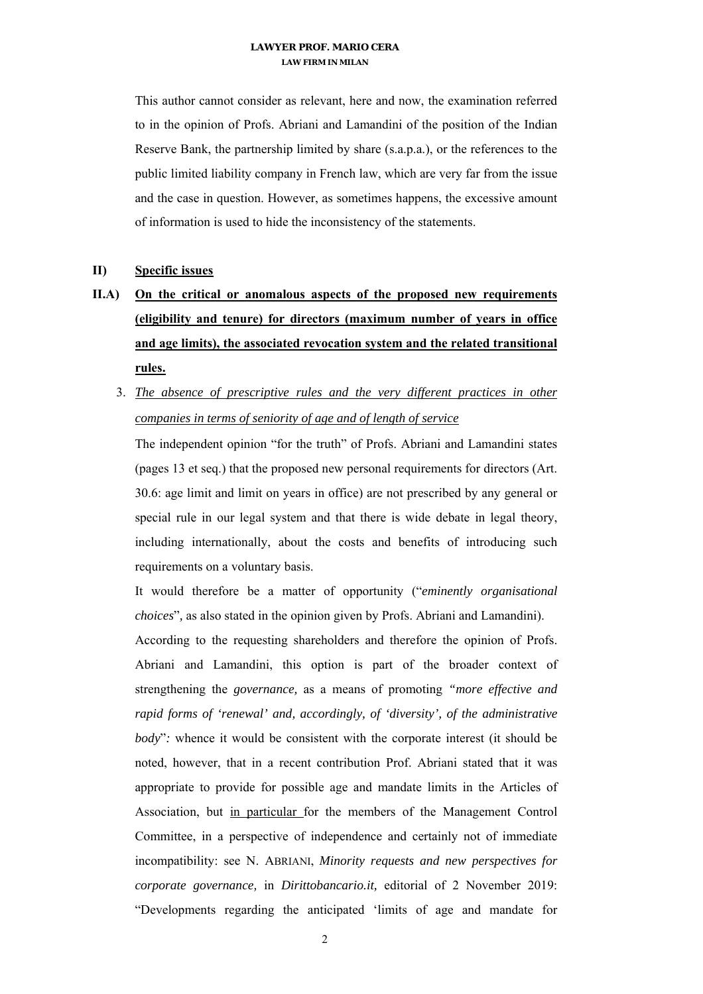This author cannot consider as relevant, here and now, the examination referred to in the opinion of Profs. Abriani and Lamandini of the position of the Indian Reserve Bank, the partnership limited by share (s.a.p.a.), or the references to the public limited liability company in French law, which are very far from the issue and the case in question. However, as sometimes happens, the excessive amount of information is used to hide the inconsistency of the statements.

### **II) Specific issues**

- **II.A) On the critical or anomalous aspects of the proposed new requirements (eligibility and tenure) for directors (maximum number of years in office and age limits), the associated revocation system and the related transitional rules.** 
	- 3. *The absence of prescriptive rules and the very different practices in other companies in terms of seniority of age and of length of service*

The independent opinion "for the truth" of Profs. Abriani and Lamandini states (pages 13 et seq.) that the proposed new personal requirements for directors (Art. 30.6: age limit and limit on years in office) are not prescribed by any general or special rule in our legal system and that there is wide debate in legal theory, including internationally, about the costs and benefits of introducing such requirements on a voluntary basis.

It would therefore be a matter of opportunity ("*eminently organisational choices*"*,* as also stated in the opinion given by Profs. Abriani and Lamandini).

According to the requesting shareholders and therefore the opinion of Profs. Abriani and Lamandini, this option is part of the broader context of strengthening the *governance,* as a means of promoting *"more effective and rapid forms of 'renewal' and, accordingly, of 'diversity', of the administrative body*"*:* whence it would be consistent with the corporate interest (it should be noted, however, that in a recent contribution Prof. Abriani stated that it was appropriate to provide for possible age and mandate limits in the Articles of Association, but in particular for the members of the Management Control Committee, in a perspective of independence and certainly not of immediate incompatibility: see N. ABRIANI, *Minority requests and new perspectives for corporate governance,* in *Dirittobancario.it,* editorial of 2 November 2019: "Developments regarding the anticipated 'limits of age and mandate for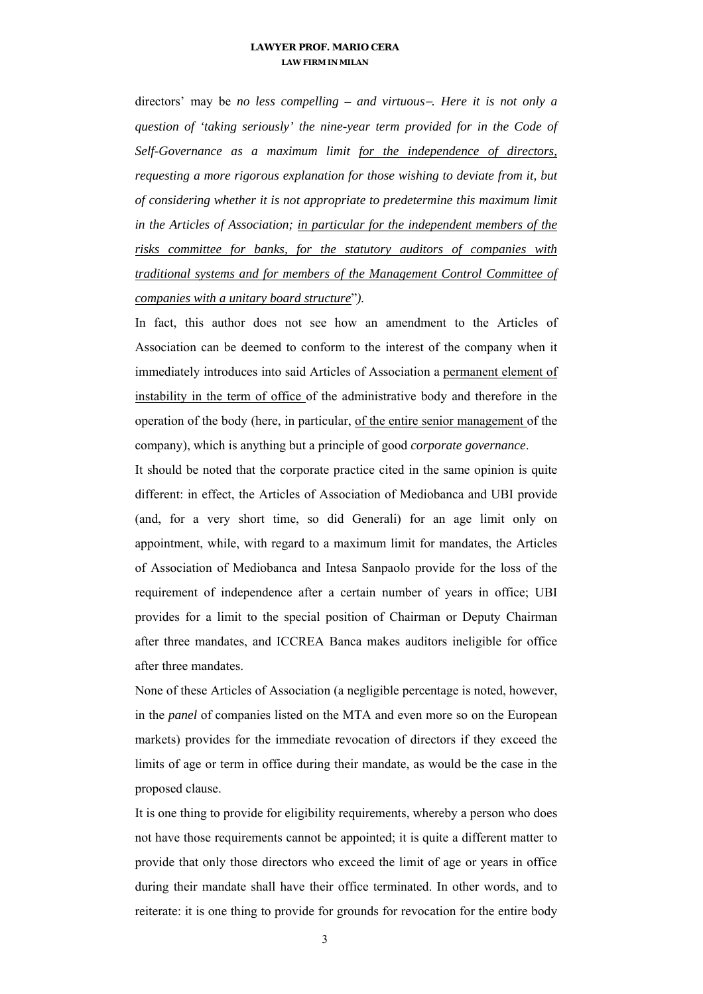directors' may be *no less compelling – and virtuous. Here it is not only a question of 'taking seriously' the nine-year term provided for in the Code of Self-Governance as a maximum limit for the independence of directors, requesting a more rigorous explanation for those wishing to deviate from it, but of considering whether it is not appropriate to predetermine this maximum limit in the Articles of Association; in particular for the independent members of the risks committee for banks, for the statutory auditors of companies with traditional systems and for members of the Management Control Committee of companies with a unitary board structure*"*).*

In fact, this author does not see how an amendment to the Articles of Association can be deemed to conform to the interest of the company when it immediately introduces into said Articles of Association a permanent element of instability in the term of office of the administrative body and therefore in the operation of the body (here, in particular, of the entire senior management of the company), which is anything but a principle of good *corporate governance*.

It should be noted that the corporate practice cited in the same opinion is quite different: in effect, the Articles of Association of Mediobanca and UBI provide (and, for a very short time, so did Generali) for an age limit only on appointment, while, with regard to a maximum limit for mandates, the Articles of Association of Mediobanca and Intesa Sanpaolo provide for the loss of the requirement of independence after a certain number of years in office; UBI provides for a limit to the special position of Chairman or Deputy Chairman after three mandates, and ICCREA Banca makes auditors ineligible for office after three mandates.

None of these Articles of Association (a negligible percentage is noted, however, in the *panel* of companies listed on the MTA and even more so on the European markets) provides for the immediate revocation of directors if they exceed the limits of age or term in office during their mandate, as would be the case in the proposed clause.

It is one thing to provide for eligibility requirements, whereby a person who does not have those requirements cannot be appointed; it is quite a different matter to provide that only those directors who exceed the limit of age or years in office during their mandate shall have their office terminated. In other words, and to reiterate: it is one thing to provide for grounds for revocation for the entire body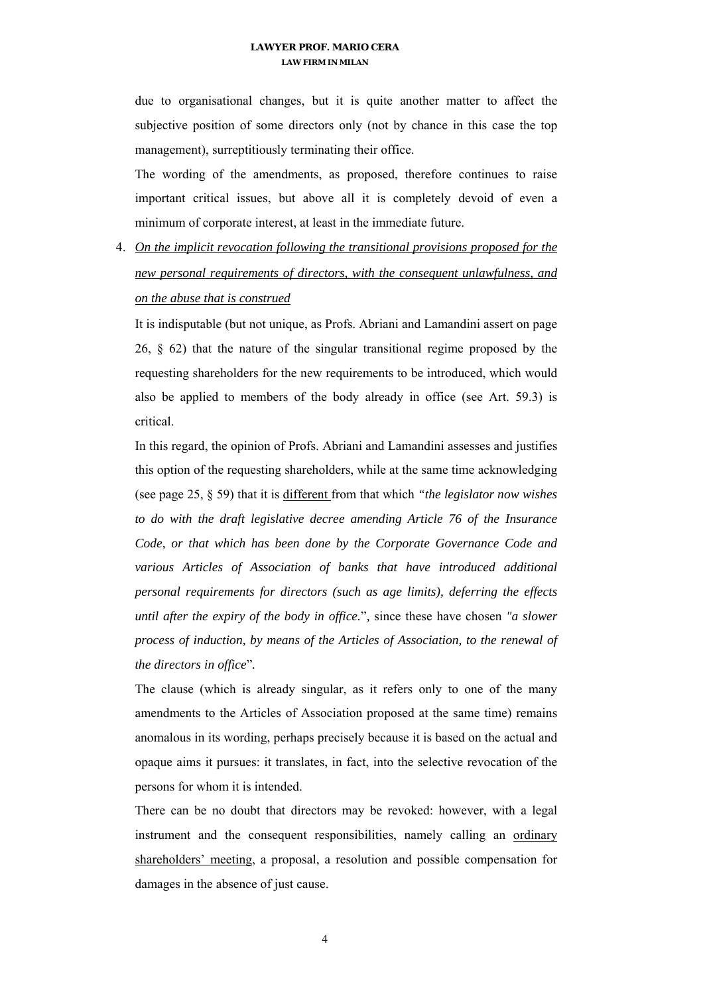due to organisational changes, but it is quite another matter to affect the subjective position of some directors only (not by chance in this case the top management), surreptitiously terminating their office.

The wording of the amendments, as proposed, therefore continues to raise important critical issues, but above all it is completely devoid of even a minimum of corporate interest, at least in the immediate future.

4. *On the implicit revocation following the transitional provisions proposed for the new personal requirements of directors, with the consequent unlawfulness, and on the abuse that is construed* 

It is indisputable (but not unique, as Profs. Abriani and Lamandini assert on page 26, § 62) that the nature of the singular transitional regime proposed by the requesting shareholders for the new requirements to be introduced, which would also be applied to members of the body already in office (see Art. 59.3) is critical.

In this regard, the opinion of Profs. Abriani and Lamandini assesses and justifies this option of the requesting shareholders, while at the same time acknowledging (see page 25, § 59) that it is different from that which *"the legislator now wishes to do with the draft legislative decree amending Article 76 of the Insurance Code, or that which has been done by the Corporate Governance Code and various Articles of Association of banks that have introduced additional personal requirements for directors (such as age limits), deferring the effects until after the expiry of the body in office.*"*,* since these have chosen *"a slower process of induction, by means of the Articles of Association, to the renewal of the directors in office*"*.*

The clause (which is already singular, as it refers only to one of the many amendments to the Articles of Association proposed at the same time) remains anomalous in its wording, perhaps precisely because it is based on the actual and opaque aims it pursues: it translates, in fact, into the selective revocation of the persons for whom it is intended.

There can be no doubt that directors may be revoked: however, with a legal instrument and the consequent responsibilities, namely calling an ordinary shareholders' meeting, a proposal, a resolution and possible compensation for damages in the absence of just cause.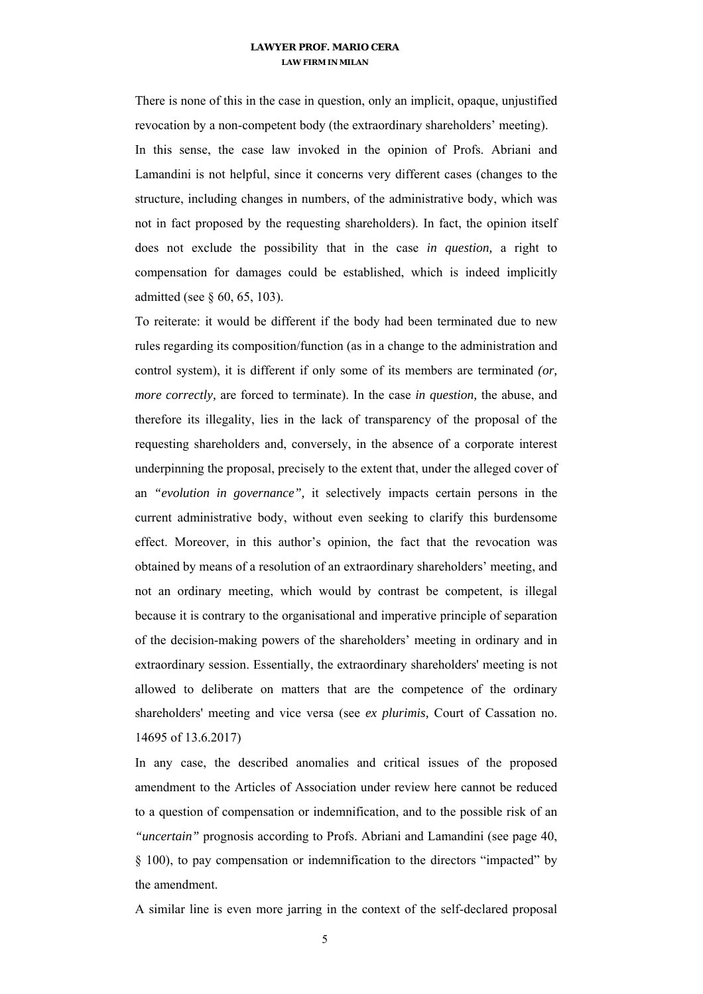There is none of this in the case in question, only an implicit, opaque, unjustified revocation by a non-competent body (the extraordinary shareholders' meeting).

In this sense, the case law invoked in the opinion of Profs. Abriani and Lamandini is not helpful, since it concerns very different cases (changes to the structure, including changes in numbers, of the administrative body, which was not in fact proposed by the requesting shareholders). In fact, the opinion itself does not exclude the possibility that in the case *in question,* a right to compensation for damages could be established, which is indeed implicitly admitted (see § 60, 65, 103).

To reiterate: it would be different if the body had been terminated due to new rules regarding its composition/function (as in a change to the administration and control system), it is different if only some of its members are terminated *(or, more correctly, are forced to terminate). In the case <i>in question*, the abuse, and therefore its illegality, lies in the lack of transparency of the proposal of the requesting shareholders and, conversely, in the absence of a corporate interest underpinning the proposal, precisely to the extent that, under the alleged cover of an *"evolution in governance",* it selectively impacts certain persons in the current administrative body, without even seeking to clarify this burdensome effect. Moreover, in this author's opinion, the fact that the revocation was obtained by means of a resolution of an extraordinary shareholders' meeting, and not an ordinary meeting, which would by contrast be competent, is illegal because it is contrary to the organisational and imperative principle of separation of the decision-making powers of the shareholders' meeting in ordinary and in extraordinary session. Essentially, the extraordinary shareholders' meeting is not allowed to deliberate on matters that are the competence of the ordinary shareholders' meeting and vice versa (see *ex plurimis,* Court of Cassation no. 14695 of 13.6.2017)

In any case, the described anomalies and critical issues of the proposed amendment to the Articles of Association under review here cannot be reduced to a question of compensation or indemnification, and to the possible risk of an *"uncertain"* prognosis according to Profs. Abriani and Lamandini (see page 40, § 100), to pay compensation or indemnification to the directors "impacted" by the amendment.

A similar line is even more jarring in the context of the self-declared proposal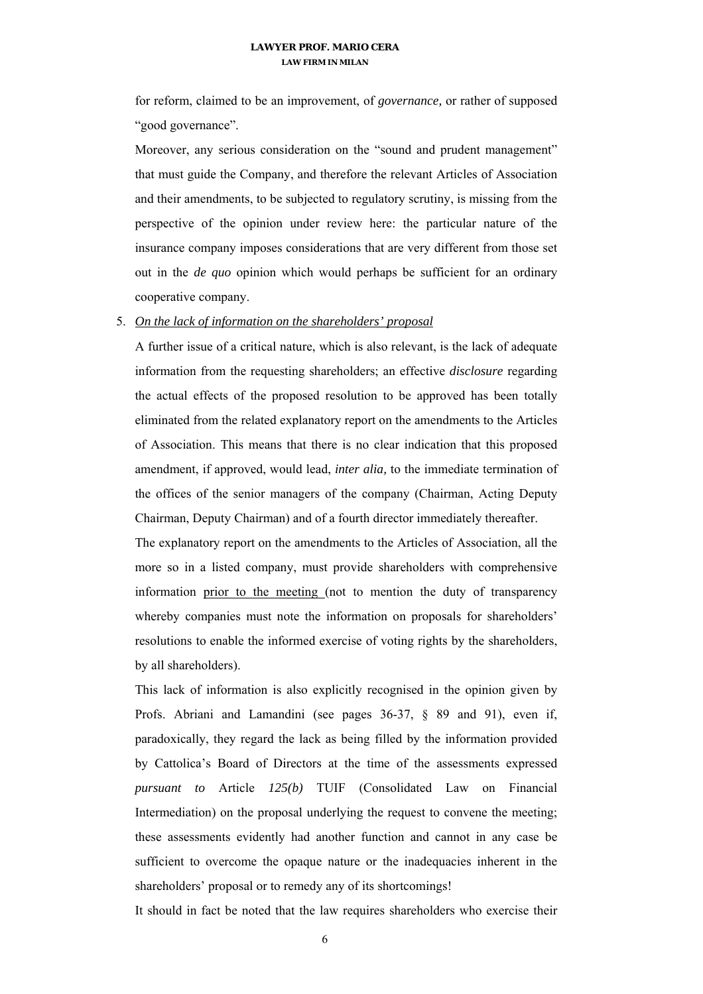for reform, claimed to be an improvement, of *governance,* or rather of supposed "good governance".

Moreover, any serious consideration on the "sound and prudent management" that must guide the Company, and therefore the relevant Articles of Association and their amendments, to be subjected to regulatory scrutiny, is missing from the perspective of the opinion under review here: the particular nature of the insurance company imposes considerations that are very different from those set out in the *de quo* opinion which would perhaps be sufficient for an ordinary cooperative company.

#### 5. *On the lack of information on the shareholders' proposal*

A further issue of a critical nature, which is also relevant, is the lack of adequate information from the requesting shareholders; an effective *disclosure* regarding the actual effects of the proposed resolution to be approved has been totally eliminated from the related explanatory report on the amendments to the Articles of Association. This means that there is no clear indication that this proposed amendment, if approved, would lead, *inter alia,* to the immediate termination of the offices of the senior managers of the company (Chairman, Acting Deputy Chairman, Deputy Chairman) and of a fourth director immediately thereafter.

The explanatory report on the amendments to the Articles of Association, all the more so in a listed company, must provide shareholders with comprehensive information prior to the meeting (not to mention the duty of transparency whereby companies must note the information on proposals for shareholders' resolutions to enable the informed exercise of voting rights by the shareholders, by all shareholders).

This lack of information is also explicitly recognised in the opinion given by Profs. Abriani and Lamandini (see pages 36-37, § 89 and 91), even if, paradoxically, they regard the lack as being filled by the information provided by Cattolica's Board of Directors at the time of the assessments expressed *pursuant to* Article *125(b)* TUIF (Consolidated Law on Financial Intermediation) on the proposal underlying the request to convene the meeting; these assessments evidently had another function and cannot in any case be sufficient to overcome the opaque nature or the inadequacies inherent in the shareholders' proposal or to remedy any of its shortcomings!

It should in fact be noted that the law requires shareholders who exercise their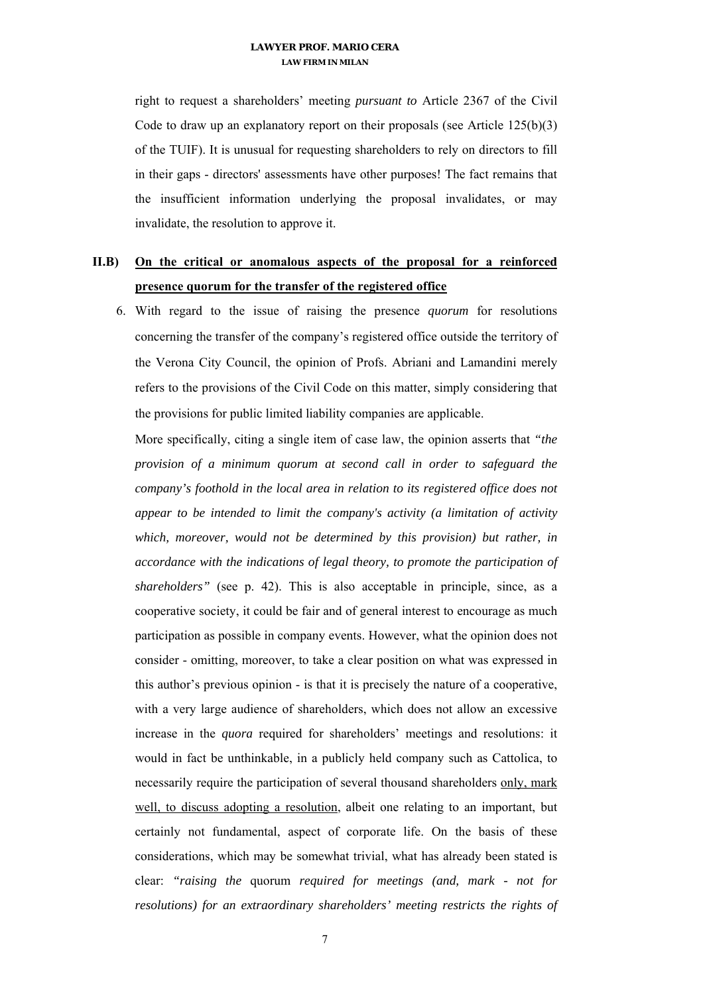right to request a shareholders' meeting *pursuant to* Article 2367 of the Civil Code to draw up an explanatory report on their proposals (see Article  $125(b)(3)$ ) of the TUIF). It is unusual for requesting shareholders to rely on directors to fill in their gaps - directors' assessments have other purposes! The fact remains that the insufficient information underlying the proposal invalidates, or may invalidate, the resolution to approve it.

### **II.B) On the critical or anomalous aspects of the proposal for a reinforced presence quorum for the transfer of the registered office**

6. With regard to the issue of raising the presence *quorum* for resolutions concerning the transfer of the company's registered office outside the territory of the Verona City Council, the opinion of Profs. Abriani and Lamandini merely refers to the provisions of the Civil Code on this matter, simply considering that the provisions for public limited liability companies are applicable.

More specifically, citing a single item of case law, the opinion asserts that *"the provision of a minimum quorum at second call in order to safeguard the company's foothold in the local area in relation to its registered office does not appear to be intended to limit the company's activity (a limitation of activity which, moreover, would not be determined by this provision) but rather, in accordance with the indications of legal theory, to promote the participation of shareholders"* (see p. 42). This is also acceptable in principle, since, as a cooperative society, it could be fair and of general interest to encourage as much participation as possible in company events. However, what the opinion does not consider - omitting, moreover, to take a clear position on what was expressed in this author's previous opinion - is that it is precisely the nature of a cooperative, with a very large audience of shareholders, which does not allow an excessive increase in the *quora* required for shareholders' meetings and resolutions: it would in fact be unthinkable, in a publicly held company such as Cattolica, to necessarily require the participation of several thousand shareholders only, mark well, to discuss adopting a resolution, albeit one relating to an important, but certainly not fundamental, aspect of corporate life. On the basis of these considerations, which may be somewhat trivial, what has already been stated is clear: *"raising the* quorum *required for meetings (and, mark - not for resolutions) for an extraordinary shareholders' meeting restricts the rights of*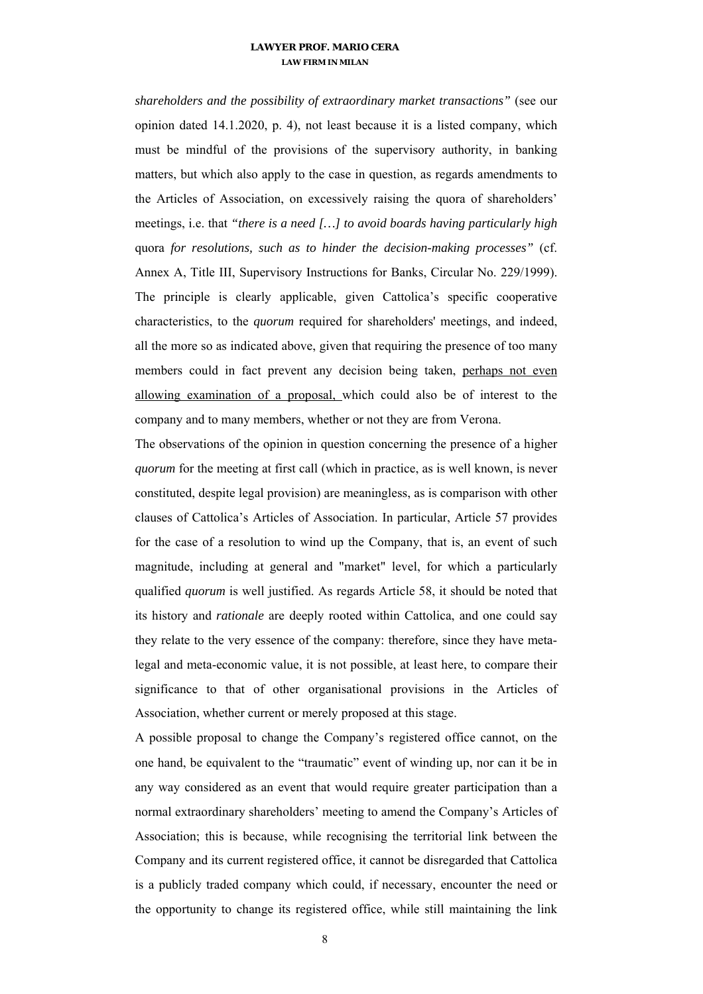*shareholders and the possibility of extraordinary market transactions"* (see our opinion dated 14.1.2020, p. 4), not least because it is a listed company, which must be mindful of the provisions of the supervisory authority, in banking matters, but which also apply to the case in question, as regards amendments to the Articles of Association, on excessively raising the quora of shareholders' meetings, i.e. that *"there is a need […] to avoid boards having particularly high*  quora *for resolutions, such as to hinder the decision-making processes"* (cf. Annex A, Title III, Supervisory Instructions for Banks, Circular No. 229/1999). The principle is clearly applicable, given Cattolica's specific cooperative characteristics, to the *quorum* required for shareholders' meetings, and indeed, all the more so as indicated above, given that requiring the presence of too many members could in fact prevent any decision being taken, perhaps not even allowing examination of a proposal, which could also be of interest to the company and to many members, whether or not they are from Verona.

The observations of the opinion in question concerning the presence of a higher *quorum* for the meeting at first call (which in practice, as is well known, is never constituted, despite legal provision) are meaningless, as is comparison with other clauses of Cattolica's Articles of Association. In particular, Article 57 provides for the case of a resolution to wind up the Company, that is, an event of such magnitude, including at general and "market" level, for which a particularly qualified *quorum* is well justified. As regards Article 58, it should be noted that its history and *rationale* are deeply rooted within Cattolica, and one could say they relate to the very essence of the company: therefore, since they have metalegal and meta-economic value, it is not possible, at least here, to compare their significance to that of other organisational provisions in the Articles of Association, whether current or merely proposed at this stage.

A possible proposal to change the Company's registered office cannot, on the one hand, be equivalent to the "traumatic" event of winding up, nor can it be in any way considered as an event that would require greater participation than a normal extraordinary shareholders' meeting to amend the Company's Articles of Association; this is because, while recognising the territorial link between the Company and its current registered office, it cannot be disregarded that Cattolica is a publicly traded company which could, if necessary, encounter the need or the opportunity to change its registered office, while still maintaining the link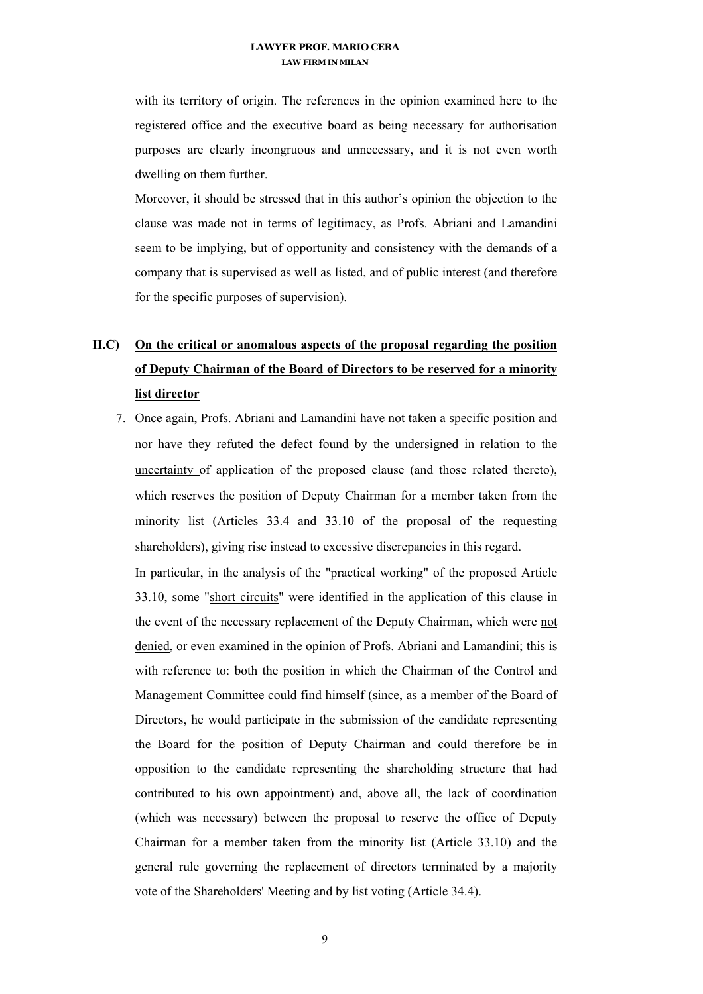with its territory of origin. The references in the opinion examined here to the registered office and the executive board as being necessary for authorisation purposes are clearly incongruous and unnecessary, and it is not even worth dwelling on them further.

Moreover, it should be stressed that in this author's opinion the objection to the clause was made not in terms of legitimacy, as Profs. Abriani and Lamandini seem to be implying, but of opportunity and consistency with the demands of a company that is supervised as well as listed, and of public interest (and therefore for the specific purposes of supervision).

# **II.C) On the critical or anomalous aspects of the proposal regarding the position of Deputy Chairman of the Board of Directors to be reserved for a minority list director**

7. Once again, Profs. Abriani and Lamandini have not taken a specific position and nor have they refuted the defect found by the undersigned in relation to the uncertainty of application of the proposed clause (and those related thereto), which reserves the position of Deputy Chairman for a member taken from the minority list (Articles 33.4 and 33.10 of the proposal of the requesting shareholders), giving rise instead to excessive discrepancies in this regard.

In particular, in the analysis of the "practical working" of the proposed Article 33.10, some "short circuits" were identified in the application of this clause in the event of the necessary replacement of the Deputy Chairman, which were not denied, or even examined in the opinion of Profs. Abriani and Lamandini; this is with reference to: both the position in which the Chairman of the Control and Management Committee could find himself (since, as a member of the Board of Directors, he would participate in the submission of the candidate representing the Board for the position of Deputy Chairman and could therefore be in opposition to the candidate representing the shareholding structure that had contributed to his own appointment) and, above all, the lack of coordination (which was necessary) between the proposal to reserve the office of Deputy Chairman for a member taken from the minority list (Article 33.10) and the general rule governing the replacement of directors terminated by a majority vote of the Shareholders' Meeting and by list voting (Article 34.4).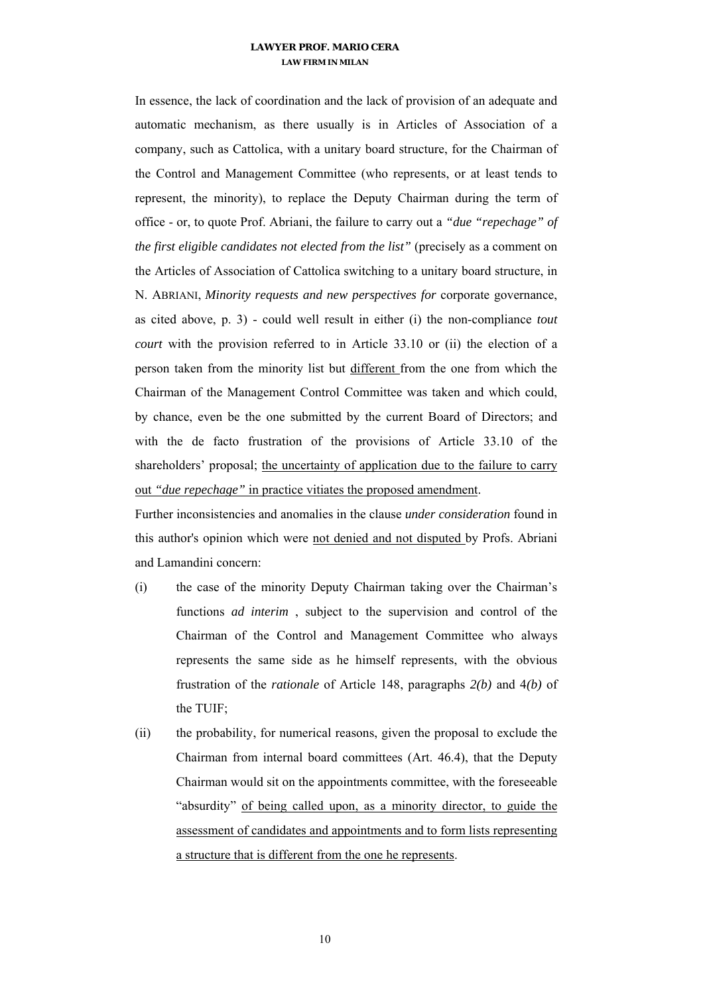In essence, the lack of coordination and the lack of provision of an adequate and automatic mechanism, as there usually is in Articles of Association of a company, such as Cattolica, with a unitary board structure, for the Chairman of the Control and Management Committee (who represents, or at least tends to represent, the minority), to replace the Deputy Chairman during the term of office - or, to quote Prof. Abriani, the failure to carry out a *"due "repechage" of the first eligible candidates not elected from the list"* (precisely as a comment on the Articles of Association of Cattolica switching to a unitary board structure, in N. ABRIANI, *Minority requests and new perspectives for* corporate governance, as cited above, p. 3) - could well result in either (i) the non-compliance *tout court* with the provision referred to in Article 33.10 or (ii) the election of a person taken from the minority list but different from the one from which the Chairman of the Management Control Committee was taken and which could, by chance, even be the one submitted by the current Board of Directors; and with the de facto frustration of the provisions of Article 33.10 of the shareholders' proposal; the uncertainty of application due to the failure to carry out *"due repechage"* in practice vitiates the proposed amendment.

Further inconsistencies and anomalies in the clause *under consideration* found in this author's opinion which were not denied and not disputed by Profs. Abriani and Lamandini concern:

- (i) the case of the minority Deputy Chairman taking over the Chairman's functions *ad interim* , subject to the supervision and control of the Chairman of the Control and Management Committee who always represents the same side as he himself represents, with the obvious frustration of the *rationale* of Article 148, paragraphs *2(b)* and 4*(b)* of the TUIF;
- (ii) the probability, for numerical reasons, given the proposal to exclude the Chairman from internal board committees (Art. 46.4), that the Deputy Chairman would sit on the appointments committee, with the foreseeable "absurdity" of being called upon, as a minority director, to guide the assessment of candidates and appointments and to form lists representing a structure that is different from the one he represents.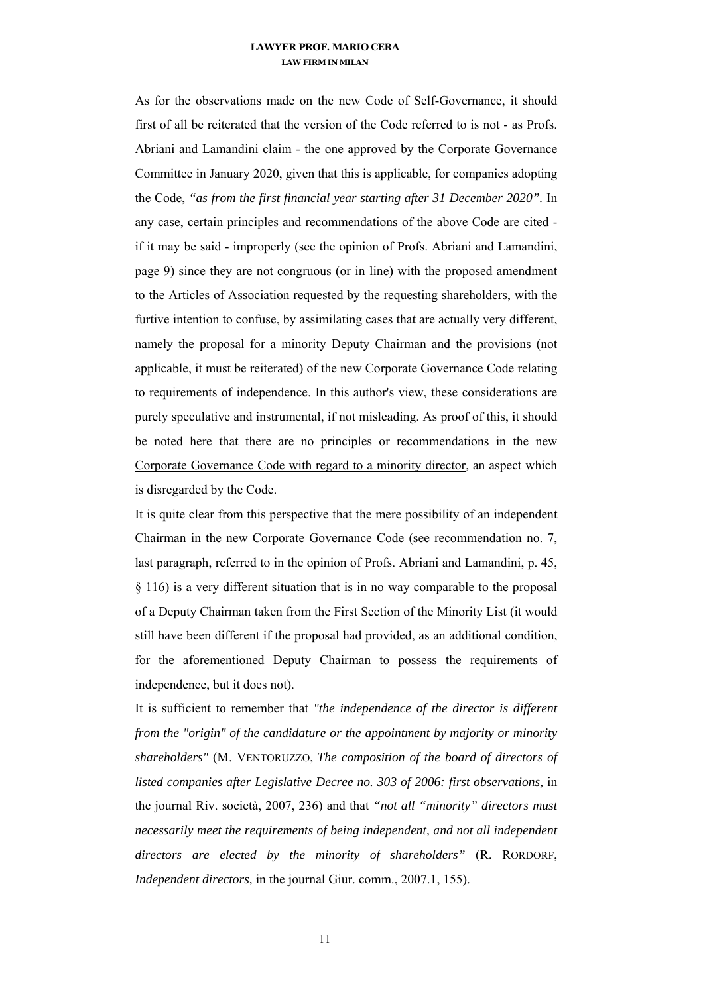As for the observations made on the new Code of Self-Governance, it should first of all be reiterated that the version of the Code referred to is not - as Profs. Abriani and Lamandini claim - the one approved by the Corporate Governance Committee in January 2020, given that this is applicable, for companies adopting the Code, *"as from the first financial year starting after 31 December 2020".* In any case, certain principles and recommendations of the above Code are cited if it may be said - improperly (see the opinion of Profs. Abriani and Lamandini, page 9) since they are not congruous (or in line) with the proposed amendment to the Articles of Association requested by the requesting shareholders, with the furtive intention to confuse, by assimilating cases that are actually very different, namely the proposal for a minority Deputy Chairman and the provisions (not applicable, it must be reiterated) of the new Corporate Governance Code relating to requirements of independence. In this author's view, these considerations are purely speculative and instrumental, if not misleading. As proof of this, it should be noted here that there are no principles or recommendations in the new Corporate Governance Code with regard to a minority director, an aspect which is disregarded by the Code.

It is quite clear from this perspective that the mere possibility of an independent Chairman in the new Corporate Governance Code (see recommendation no. 7, last paragraph, referred to in the opinion of Profs. Abriani and Lamandini, p. 45, § 116) is a very different situation that is in no way comparable to the proposal of a Deputy Chairman taken from the First Section of the Minority List (it would still have been different if the proposal had provided, as an additional condition, for the aforementioned Deputy Chairman to possess the requirements of independence, but it does not).

It is sufficient to remember that *"the independence of the director is different from the "origin" of the candidature or the appointment by majority or minority shareholders"* (M. VENTORUZZO, *The composition of the board of directors of listed companies after Legislative Decree no. 303 of 2006: first observations,* in the journal Riv. società, 2007, 236) and that *"not all "minority" directors must necessarily meet the requirements of being independent, and not all independent directors are elected by the minority of shareholders"* (R. RORDORF, *Independent directors,* in the journal Giur. comm., 2007.1, 155).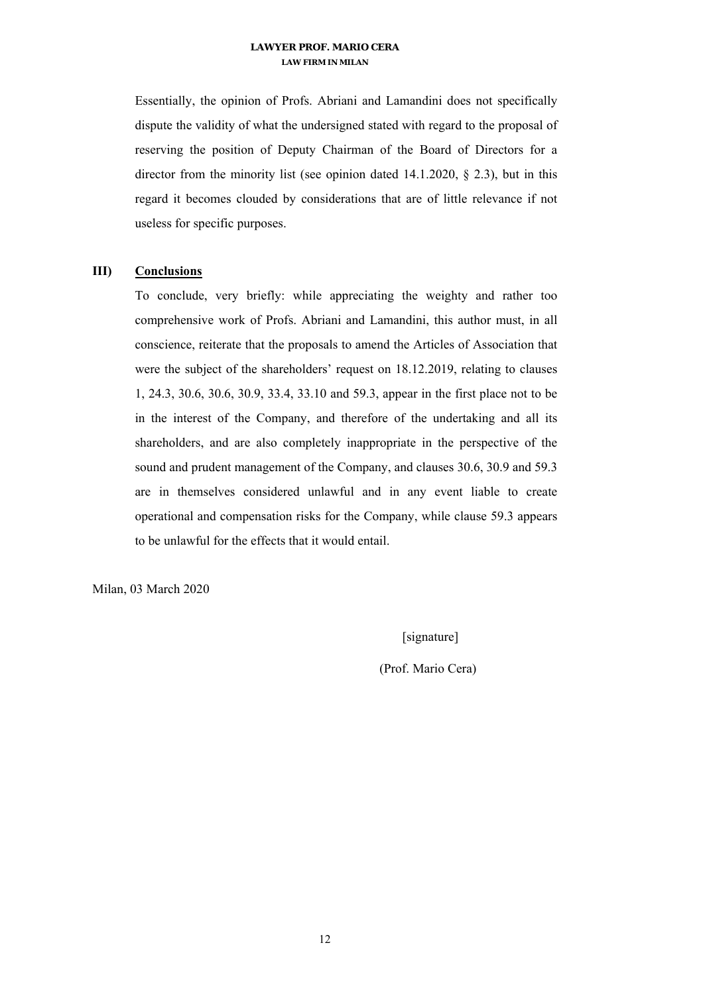Essentially, the opinion of Profs. Abriani and Lamandini does not specifically dispute the validity of what the undersigned stated with regard to the proposal of reserving the position of Deputy Chairman of the Board of Directors for a director from the minority list (see opinion dated  $14.1.2020$ ,  $\S$  2.3), but in this regard it becomes clouded by considerations that are of little relevance if not useless for specific purposes.

#### **III) Conclusions**

To conclude, very briefly: while appreciating the weighty and rather too comprehensive work of Profs. Abriani and Lamandini, this author must, in all conscience, reiterate that the proposals to amend the Articles of Association that were the subject of the shareholders' request on 18.12.2019, relating to clauses 1, 24.3, 30.6, 30.6, 30.9, 33.4, 33.10 and 59.3, appear in the first place not to be in the interest of the Company, and therefore of the undertaking and all its shareholders, and are also completely inappropriate in the perspective of the sound and prudent management of the Company, and clauses 30.6, 30.9 and 59.3 are in themselves considered unlawful and in any event liable to create operational and compensation risks for the Company, while clause 59.3 appears to be unlawful for the effects that it would entail.

Milan, 03 March 2020

[signature]

(Prof. Mario Cera)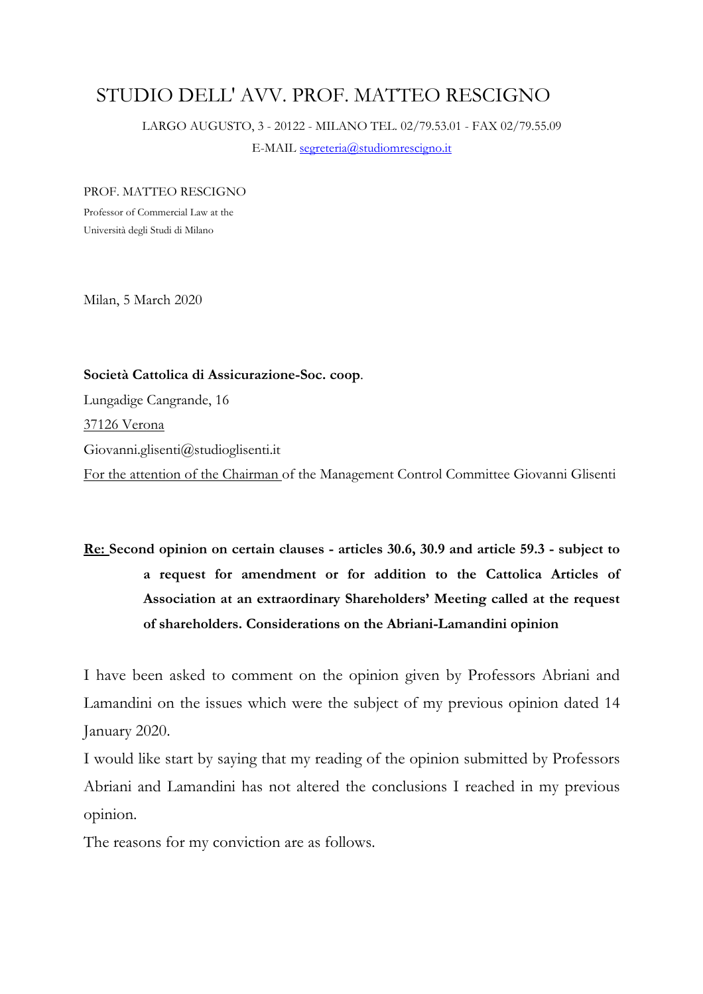# STUDIO DELL' AVV. PROF. MATTEO RESCIGNO

LARGO AUGUSTO, 3 - 20122 - MILANO TEL. 02/79.53.01 - FAX 02/79.55.09

E-MAIL segreteria@studiomrescigno.it

### PROF. MATTEO RESCIGNO

Professor of Commercial Law at the Università degli Studi di Milano

Milan, 5 March 2020

**Società Cattolica di Assicurazione-Soc. coop**. Lungadige Cangrande, 16 37126 Verona Giovanni.glisenti@studioglisenti.it For the attention of the Chairman of the Management Control Committee Giovanni Glisenti

# **Re: Second opinion on certain clauses - articles 30.6, 30.9 and article 59.3 - subject to a request for amendment or for addition to the Cattolica Articles of Association at an extraordinary Shareholders' Meeting called at the request of shareholders. Considerations on the Abriani-Lamandini opinion**

I have been asked to comment on the opinion given by Professors Abriani and Lamandini on the issues which were the subject of my previous opinion dated 14 January 2020.

I would like start by saying that my reading of the opinion submitted by Professors Abriani and Lamandini has not altered the conclusions I reached in my previous opinion.

The reasons for my conviction are as follows.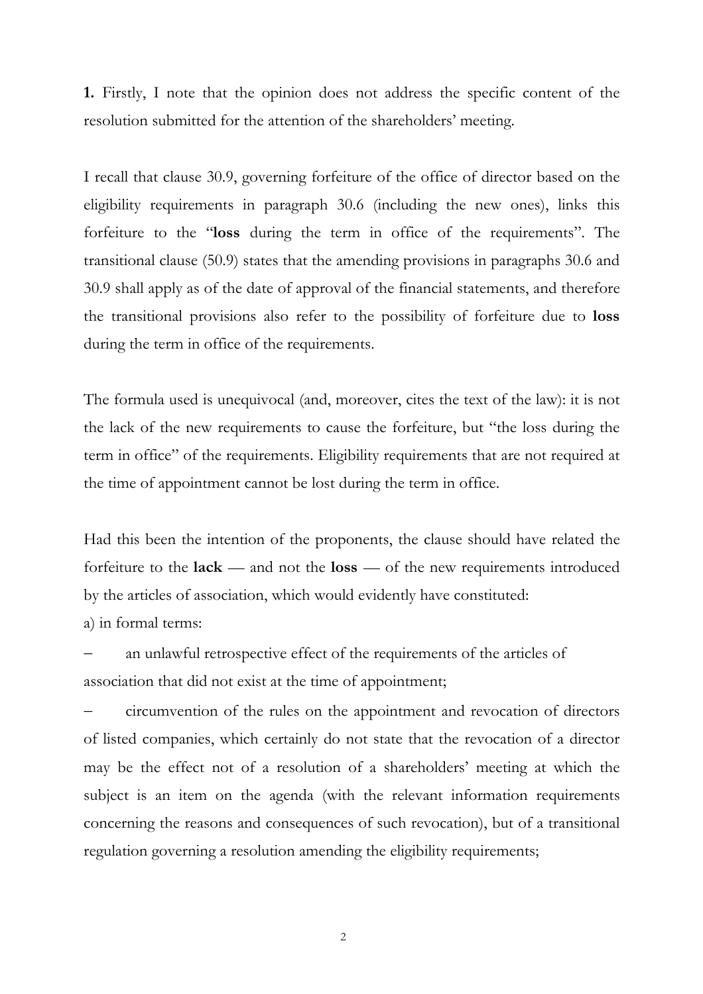**1.** Firstly, I note that the opinion does not address the specific content of the resolution submitted for the attention of the shareholders' meeting.

I recall that clause 30.9, governing forfeiture of the office of director based on the eligibility requirements in paragraph 30.6 (including the new ones), links this forfeiture to the "**loss** during the term in office of the requirements". The transitional clause (50.9) states that the amending provisions in paragraphs 30.6 and 30.9 shall apply as of the date of approval of the financial statements, and therefore the transitional provisions also refer to the possibility of forfeiture due to **loss**  during the term in office of the requirements.

The formula used is unequivocal (and, moreover, cites the text of the law): it is not the lack of the new requirements to cause the forfeiture, but "the loss during the term in office" of the requirements. Eligibility requirements that are not required at the time of appointment cannot be lost during the term in office.

Had this been the intention of the proponents, the clause should have related the forfeiture to the **lack** — and not the **loss** — of the new requirements introduced by the articles of association, which would evidently have constituted: a) in formal terms:

 an unlawful retrospective effect of the requirements of the articles of association that did not exist at the time of appointment;

 circumvention of the rules on the appointment and revocation of directors of listed companies, which certainly do not state that the revocation of a director may be the effect not of a resolution of a shareholders' meeting at which the subject is an item on the agenda (with the relevant information requirements concerning the reasons and consequences of such revocation), but of a transitional regulation governing a resolution amending the eligibility requirements;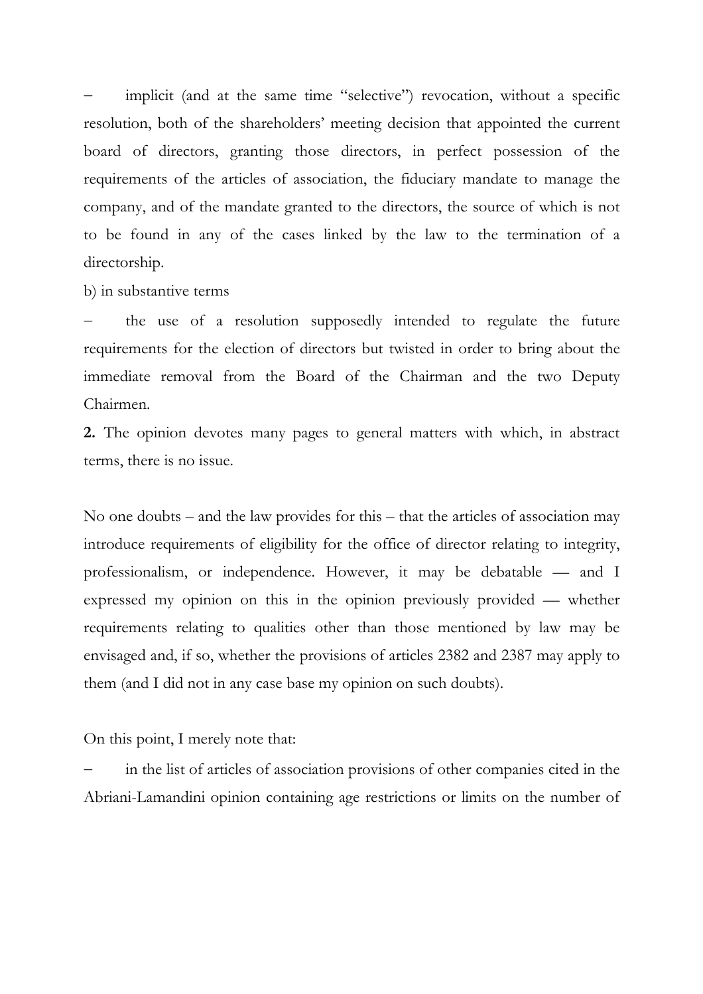implicit (and at the same time "selective") revocation, without a specific resolution, both of the shareholders' meeting decision that appointed the current board of directors, granting those directors, in perfect possession of the requirements of the articles of association, the fiduciary mandate to manage the company, and of the mandate granted to the directors, the source of which is not to be found in any of the cases linked by the law to the termination of a directorship.

b) in substantive terms

 the use of a resolution supposedly intended to regulate the future requirements for the election of directors but twisted in order to bring about the immediate removal from the Board of the Chairman and the two Deputy Chairmen.

**2.** The opinion devotes many pages to general matters with which, in abstract terms, there is no issue.

No one doubts – and the law provides for this – that the articles of association may introduce requirements of eligibility for the office of director relating to integrity, professionalism, or independence. However, it may be debatable — and I expressed my opinion on this in the opinion previously provided — whether requirements relating to qualities other than those mentioned by law may be envisaged and, if so, whether the provisions of articles 2382 and 2387 may apply to them (and I did not in any case base my opinion on such doubts).

On this point, I merely note that:

 in the list of articles of association provisions of other companies cited in the Abriani-Lamandini opinion containing age restrictions or limits on the number of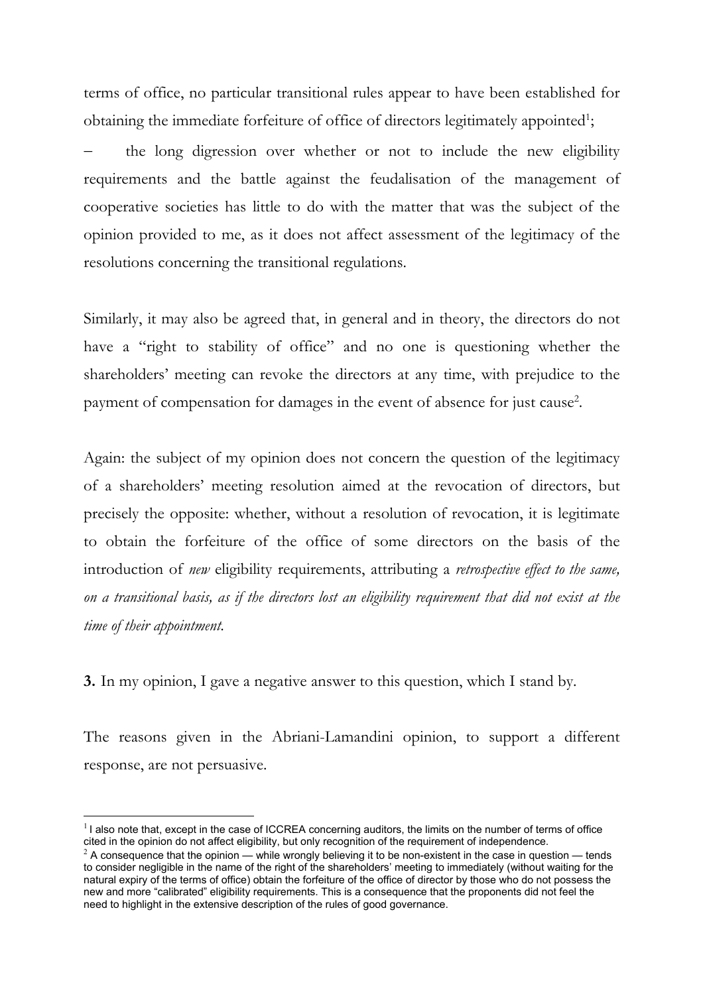terms of office, no particular transitional rules appear to have been established for obtaining the immediate forfeiture of office of directors legitimately appointed<sup>1</sup>;

 the long digression over whether or not to include the new eligibility requirements and the battle against the feudalisation of the management of cooperative societies has little to do with the matter that was the subject of the opinion provided to me, as it does not affect assessment of the legitimacy of the resolutions concerning the transitional regulations.

Similarly, it may also be agreed that, in general and in theory, the directors do not have a "right to stability of office" and no one is questioning whether the shareholders' meeting can revoke the directors at any time, with prejudice to the payment of compensation for damages in the event of absence for just cause<sup>2</sup>.

Again: the subject of my opinion does not concern the question of the legitimacy of a shareholders' meeting resolution aimed at the revocation of directors, but precisely the opposite: whether, without a resolution of revocation, it is legitimate to obtain the forfeiture of the office of some directors on the basis of the introduction of *new* eligibility requirements, attributing a *retrospective effect to the same, on a transitional basis, as if the directors lost an eligibility requirement that did not exist at the time of their appointment.* 

**3.** In my opinion, I gave a negative answer to this question, which I stand by.

The reasons given in the Abriani-Lamandini opinion, to support a different response, are not persuasive.

1

 $11$  also note that, except in the case of ICCREA concerning auditors, the limits on the number of terms of office cited in the opinion do not affect eligibility, but only recognition of the requirement of independence.

 $^2$  A consequence that the opinion — while wrongly believing it to be non-existent in the case in question — tends to consider negligible in the name of the right of the shareholders' meeting to immediately (without waiting for the natural expiry of the terms of office) obtain the forfeiture of the office of director by those who do not possess the new and more "calibrated" eligibility requirements. This is a consequence that the proponents did not feel the need to highlight in the extensive description of the rules of good governance.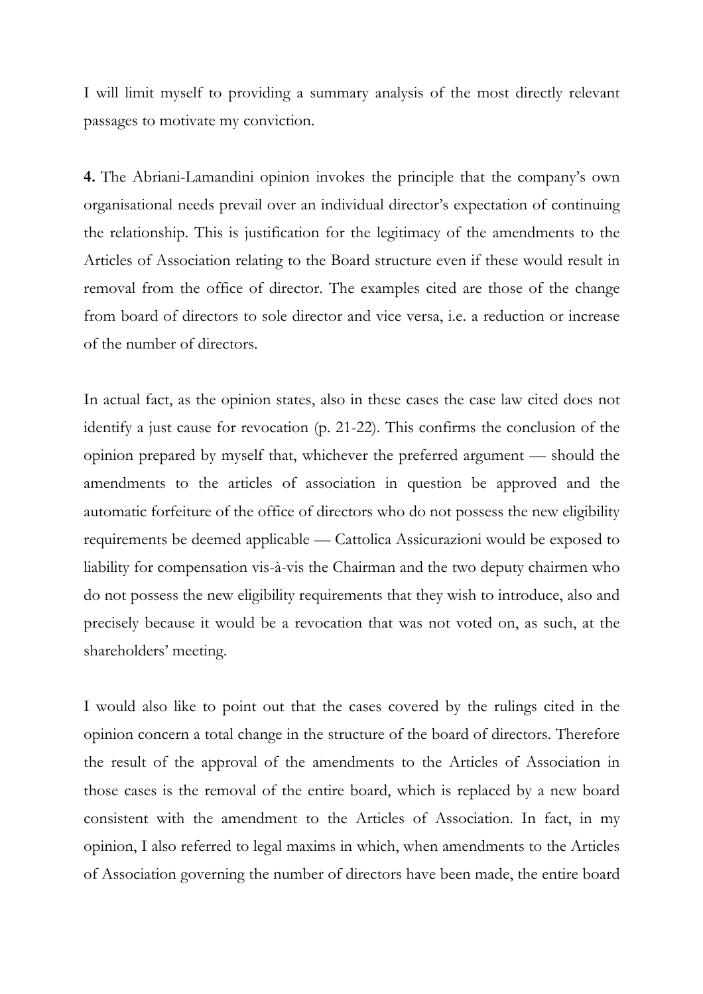I will limit myself to providing a summary analysis of the most directly relevant passages to motivate my conviction.

**4.** The Abriani-Lamandini opinion invokes the principle that the company's own organisational needs prevail over an individual director's expectation of continuing the relationship. This is justification for the legitimacy of the amendments to the Articles of Association relating to the Board structure even if these would result in removal from the office of director. The examples cited are those of the change from board of directors to sole director and vice versa, i.e. a reduction or increase of the number of directors.

In actual fact, as the opinion states, also in these cases the case law cited does not identify a just cause for revocation (p. 21-22). This confirms the conclusion of the opinion prepared by myself that, whichever the preferred argument — should the amendments to the articles of association in question be approved and the automatic forfeiture of the office of directors who do not possess the new eligibility requirements be deemed applicable — Cattolica Assicurazioni would be exposed to liability for compensation vis-à-vis the Chairman and the two deputy chairmen who do not possess the new eligibility requirements that they wish to introduce, also and precisely because it would be a revocation that was not voted on, as such, at the shareholders' meeting.

I would also like to point out that the cases covered by the rulings cited in the opinion concern a total change in the structure of the board of directors. Therefore the result of the approval of the amendments to the Articles of Association in those cases is the removal of the entire board, which is replaced by a new board consistent with the amendment to the Articles of Association. In fact, in my opinion, I also referred to legal maxims in which, when amendments to the Articles of Association governing the number of directors have been made, the entire board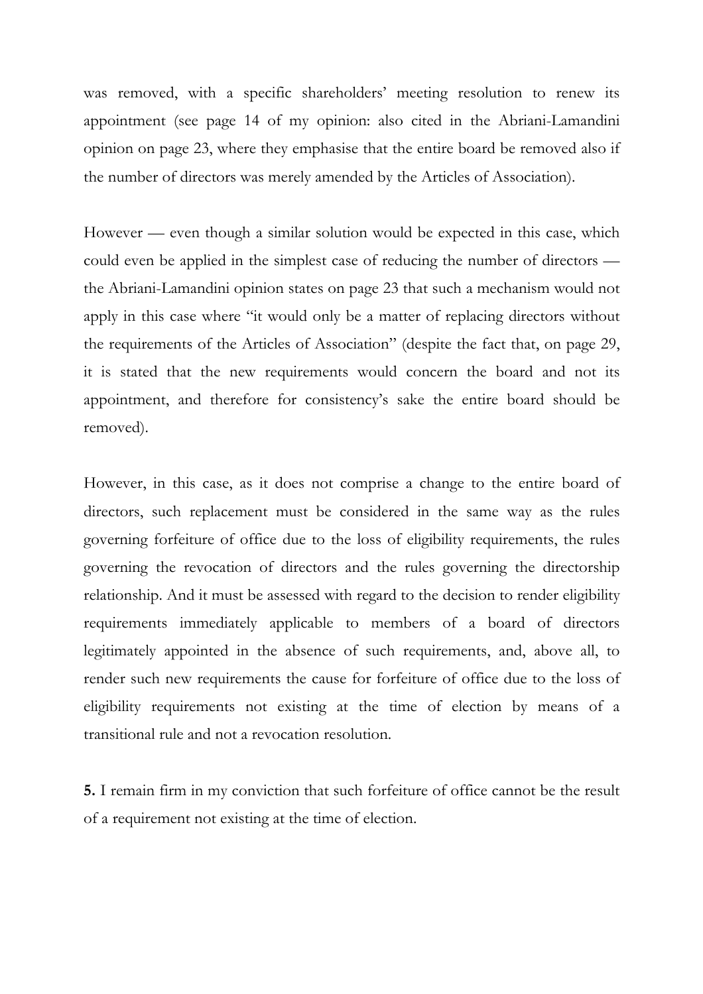was removed, with a specific shareholders' meeting resolution to renew its appointment (see page 14 of my opinion: also cited in the Abriani-Lamandini opinion on page 23, where they emphasise that the entire board be removed also if the number of directors was merely amended by the Articles of Association).

However — even though a similar solution would be expected in this case, which could even be applied in the simplest case of reducing the number of directors the Abriani-Lamandini opinion states on page 23 that such a mechanism would not apply in this case where "it would only be a matter of replacing directors without the requirements of the Articles of Association" (despite the fact that, on page 29, it is stated that the new requirements would concern the board and not its appointment, and therefore for consistency's sake the entire board should be removed).

However, in this case, as it does not comprise a change to the entire board of directors, such replacement must be considered in the same way as the rules governing forfeiture of office due to the loss of eligibility requirements, the rules governing the revocation of directors and the rules governing the directorship relationship. And it must be assessed with regard to the decision to render eligibility requirements immediately applicable to members of a board of directors legitimately appointed in the absence of such requirements, and, above all, to render such new requirements the cause for forfeiture of office due to the loss of eligibility requirements not existing at the time of election by means of a transitional rule and not a revocation resolution.

**5.** I remain firm in my conviction that such forfeiture of office cannot be the result of a requirement not existing at the time of election.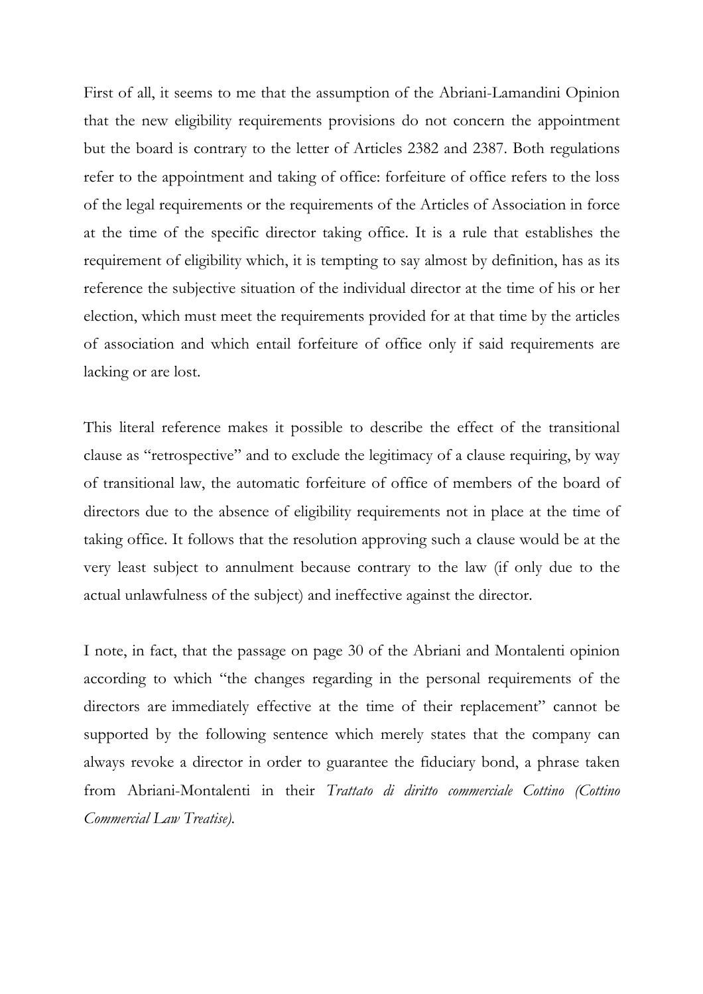First of all, it seems to me that the assumption of the Abriani-Lamandini Opinion that the new eligibility requirements provisions do not concern the appointment but the board is contrary to the letter of Articles 2382 and 2387. Both regulations refer to the appointment and taking of office: forfeiture of office refers to the loss of the legal requirements or the requirements of the Articles of Association in force at the time of the specific director taking office. It is a rule that establishes the requirement of eligibility which, it is tempting to say almost by definition, has as its reference the subjective situation of the individual director at the time of his or her election, which must meet the requirements provided for at that time by the articles of association and which entail forfeiture of office only if said requirements are lacking or are lost.

This literal reference makes it possible to describe the effect of the transitional clause as "retrospective" and to exclude the legitimacy of a clause requiring, by way of transitional law, the automatic forfeiture of office of members of the board of directors due to the absence of eligibility requirements not in place at the time of taking office. It follows that the resolution approving such a clause would be at the very least subject to annulment because contrary to the law (if only due to the actual unlawfulness of the subject) and ineffective against the director.

I note, in fact, that the passage on page 30 of the Abriani and Montalenti opinion according to which "the changes regarding in the personal requirements of the directors are immediately effective at the time of their replacement" cannot be supported by the following sentence which merely states that the company can always revoke a director in order to guarantee the fiduciary bond, a phrase taken from Abriani-Montalenti in their *Trattato di diritto commerciale Cottino (Cottino Commercial Law Treatise).*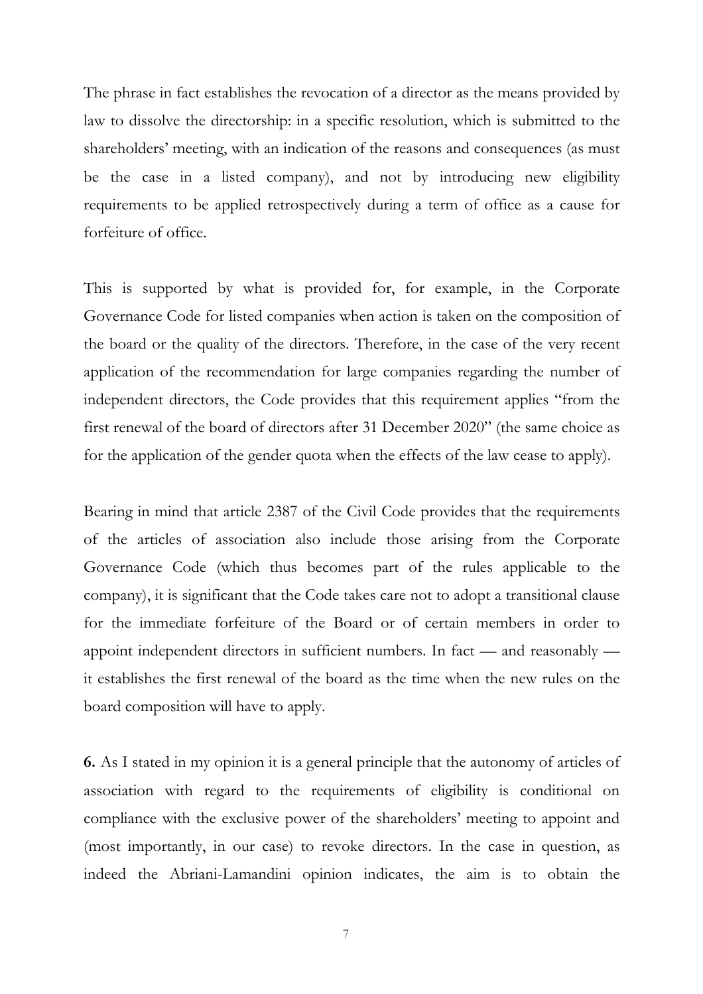The phrase in fact establishes the revocation of a director as the means provided by law to dissolve the directorship: in a specific resolution, which is submitted to the shareholders' meeting, with an indication of the reasons and consequences (as must be the case in a listed company), and not by introducing new eligibility requirements to be applied retrospectively during a term of office as a cause for forfeiture of office.

This is supported by what is provided for, for example, in the Corporate Governance Code for listed companies when action is taken on the composition of the board or the quality of the directors. Therefore, in the case of the very recent application of the recommendation for large companies regarding the number of independent directors, the Code provides that this requirement applies "from the first renewal of the board of directors after 31 December 2020" (the same choice as for the application of the gender quota when the effects of the law cease to apply).

Bearing in mind that article 2387 of the Civil Code provides that the requirements of the articles of association also include those arising from the Corporate Governance Code (which thus becomes part of the rules applicable to the company), it is significant that the Code takes care not to adopt a transitional clause for the immediate forfeiture of the Board or of certain members in order to appoint independent directors in sufficient numbers. In fact — and reasonably it establishes the first renewal of the board as the time when the new rules on the board composition will have to apply.

**6.** As I stated in my opinion it is a general principle that the autonomy of articles of association with regard to the requirements of eligibility is conditional on compliance with the exclusive power of the shareholders' meeting to appoint and (most importantly, in our case) to revoke directors. In the case in question, as indeed the Abriani-Lamandini opinion indicates, the aim is to obtain the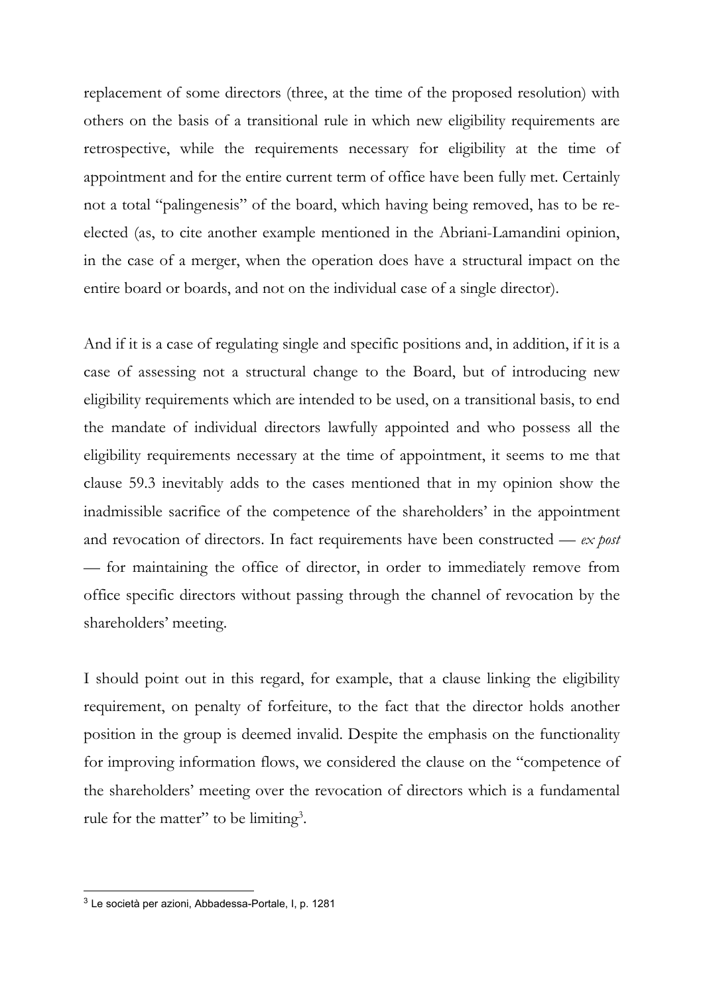replacement of some directors (three, at the time of the proposed resolution) with others on the basis of a transitional rule in which new eligibility requirements are retrospective, while the requirements necessary for eligibility at the time of appointment and for the entire current term of office have been fully met. Certainly not a total "palingenesis" of the board, which having being removed, has to be reelected (as, to cite another example mentioned in the Abriani-Lamandini opinion, in the case of a merger, when the operation does have a structural impact on the entire board or boards, and not on the individual case of a single director).

And if it is a case of regulating single and specific positions and, in addition, if it is a case of assessing not a structural change to the Board, but of introducing new eligibility requirements which are intended to be used, on a transitional basis, to end the mandate of individual directors lawfully appointed and who possess all the eligibility requirements necessary at the time of appointment, it seems to me that clause 59.3 inevitably adds to the cases mentioned that in my opinion show the inadmissible sacrifice of the competence of the shareholders' in the appointment and revocation of directors. In fact requirements have been constructed — *ex post —* for maintaining the office of director, in order to immediately remove from office specific directors without passing through the channel of revocation by the shareholders' meeting.

I should point out in this regard, for example, that a clause linking the eligibility requirement, on penalty of forfeiture, to the fact that the director holds another position in the group is deemed invalid. Despite the emphasis on the functionality for improving information flows, we considered the clause on the "competence of the shareholders' meeting over the revocation of directors which is a fundamental rule for the matter" to be limiting<sup>3</sup>.

1

 $3$  Le società per azioni, Abbadessa-Portale, I, p. 1281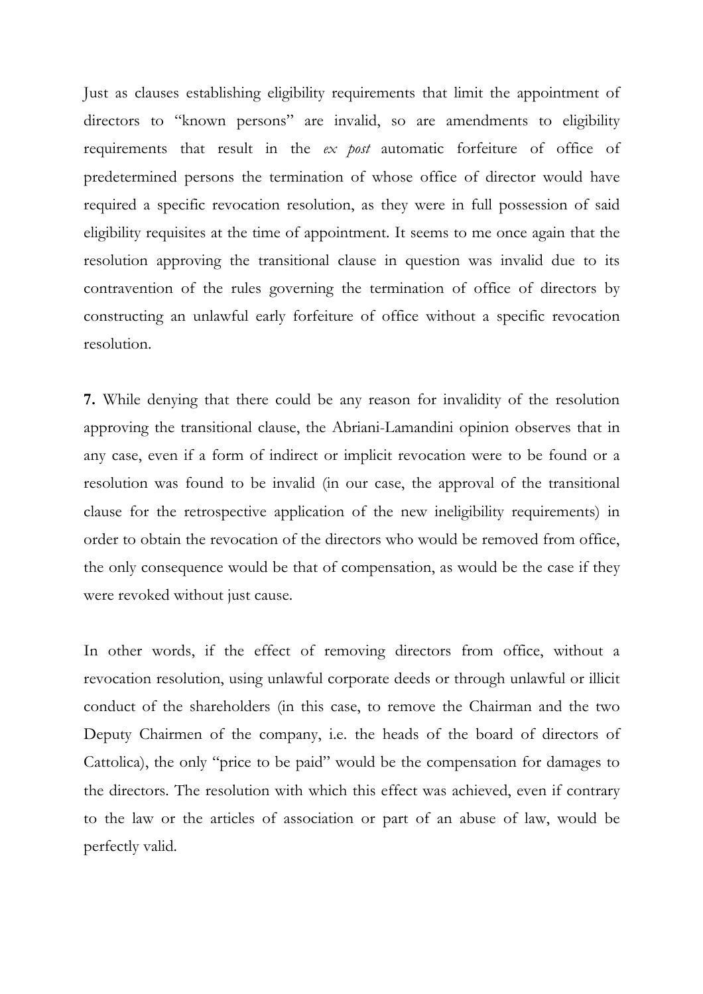Just as clauses establishing eligibility requirements that limit the appointment of directors to "known persons" are invalid, so are amendments to eligibility requirements that result in the *ex post* automatic forfeiture of office of predetermined persons the termination of whose office of director would have required a specific revocation resolution, as they were in full possession of said eligibility requisites at the time of appointment. It seems to me once again that the resolution approving the transitional clause in question was invalid due to its contravention of the rules governing the termination of office of directors by constructing an unlawful early forfeiture of office without a specific revocation resolution.

**7.** While denying that there could be any reason for invalidity of the resolution approving the transitional clause, the Abriani-Lamandini opinion observes that in any case, even if a form of indirect or implicit revocation were to be found or a resolution was found to be invalid (in our case, the approval of the transitional clause for the retrospective application of the new ineligibility requirements) in order to obtain the revocation of the directors who would be removed from office, the only consequence would be that of compensation, as would be the case if they were revoked without just cause.

In other words, if the effect of removing directors from office, without a revocation resolution, using unlawful corporate deeds or through unlawful or illicit conduct of the shareholders (in this case, to remove the Chairman and the two Deputy Chairmen of the company, i.e. the heads of the board of directors of Cattolica), the only "price to be paid" would be the compensation for damages to the directors. The resolution with which this effect was achieved, even if contrary to the law or the articles of association or part of an abuse of law, would be perfectly valid.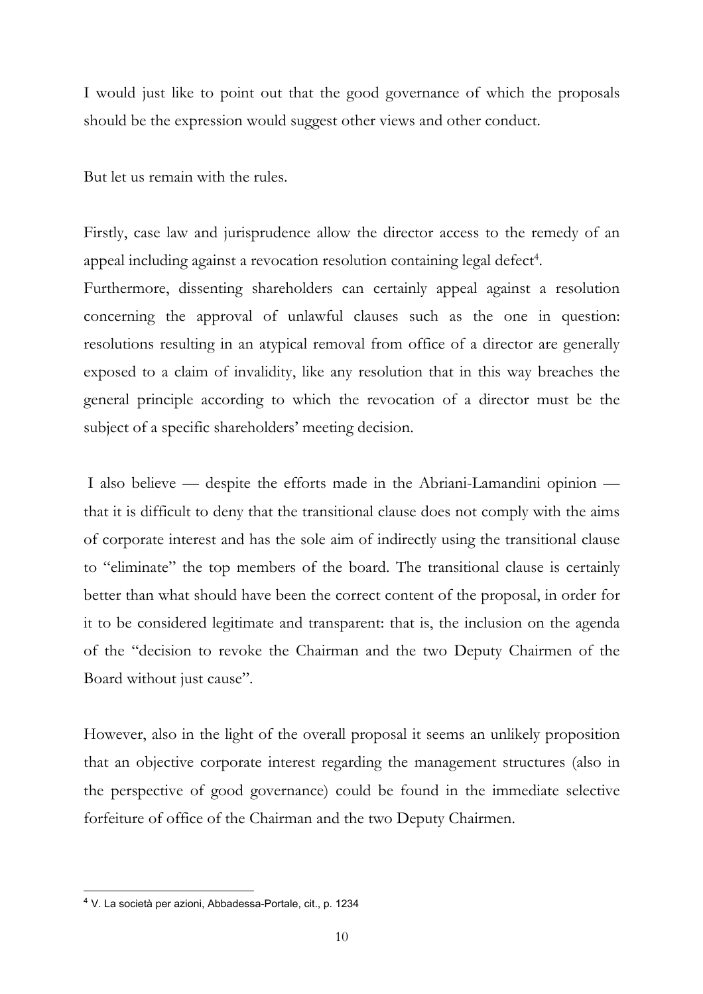I would just like to point out that the good governance of which the proposals should be the expression would suggest other views and other conduct.

But let us remain with the rules.

Firstly, case law and jurisprudence allow the director access to the remedy of an appeal including against a revocation resolution containing legal defect<sup>4</sup>.

Furthermore, dissenting shareholders can certainly appeal against a resolution concerning the approval of unlawful clauses such as the one in question: resolutions resulting in an atypical removal from office of a director are generally exposed to a claim of invalidity, like any resolution that in this way breaches the general principle according to which the revocation of a director must be the subject of a specific shareholders' meeting decision.

 I also believe — despite the efforts made in the Abriani-Lamandini opinion that it is difficult to deny that the transitional clause does not comply with the aims of corporate interest and has the sole aim of indirectly using the transitional clause to "eliminate" the top members of the board. The transitional clause is certainly better than what should have been the correct content of the proposal, in order for it to be considered legitimate and transparent: that is, the inclusion on the agenda of the "decision to revoke the Chairman and the two Deputy Chairmen of the Board without just cause".

However, also in the light of the overall proposal it seems an unlikely proposition that an objective corporate interest regarding the management structures (also in the perspective of good governance) could be found in the immediate selective forfeiture of office of the Chairman and the two Deputy Chairmen.

1

<sup>4</sup> V. La società per azioni, Abbadessa-Portale, cit., p. 1234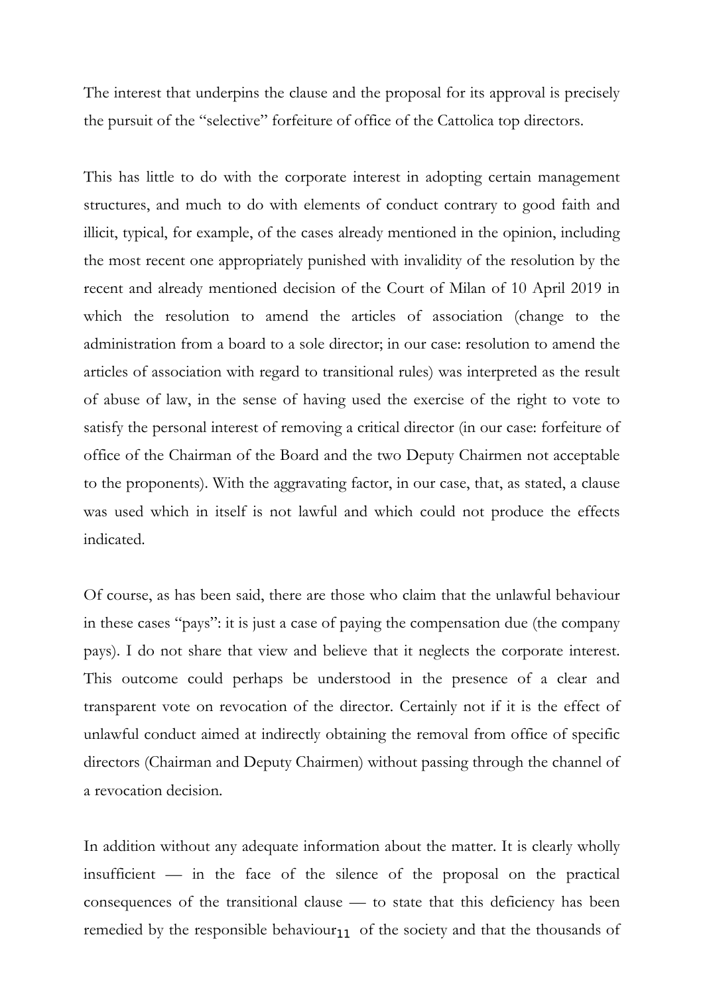The interest that underpins the clause and the proposal for its approval is precisely the pursuit of the "selective" forfeiture of office of the Cattolica top directors.

This has little to do with the corporate interest in adopting certain management structures, and much to do with elements of conduct contrary to good faith and illicit, typical, for example, of the cases already mentioned in the opinion, including the most recent one appropriately punished with invalidity of the resolution by the recent and already mentioned decision of the Court of Milan of 10 April 2019 in which the resolution to amend the articles of association (change to the administration from a board to a sole director; in our case: resolution to amend the articles of association with regard to transitional rules) was interpreted as the result of abuse of law, in the sense of having used the exercise of the right to vote to satisfy the personal interest of removing a critical director (in our case: forfeiture of office of the Chairman of the Board and the two Deputy Chairmen not acceptable to the proponents). With the aggravating factor, in our case, that, as stated, a clause was used which in itself is not lawful and which could not produce the effects indicated.

Of course, as has been said, there are those who claim that the unlawful behaviour in these cases "pays": it is just a case of paying the compensation due (the company pays). I do not share that view and believe that it neglects the corporate interest. This outcome could perhaps be understood in the presence of a clear and transparent vote on revocation of the director. Certainly not if it is the effect of unlawful conduct aimed at indirectly obtaining the removal from office of specific directors (Chairman and Deputy Chairmen) without passing through the channel of a revocation decision.

remedied by the responsible behaviour $_{11}$  of the society and that the thousands of In addition without any adequate information about the matter. It is clearly wholly insufficient — in the face of the silence of the proposal on the practical consequences of the transitional clause — to state that this deficiency has been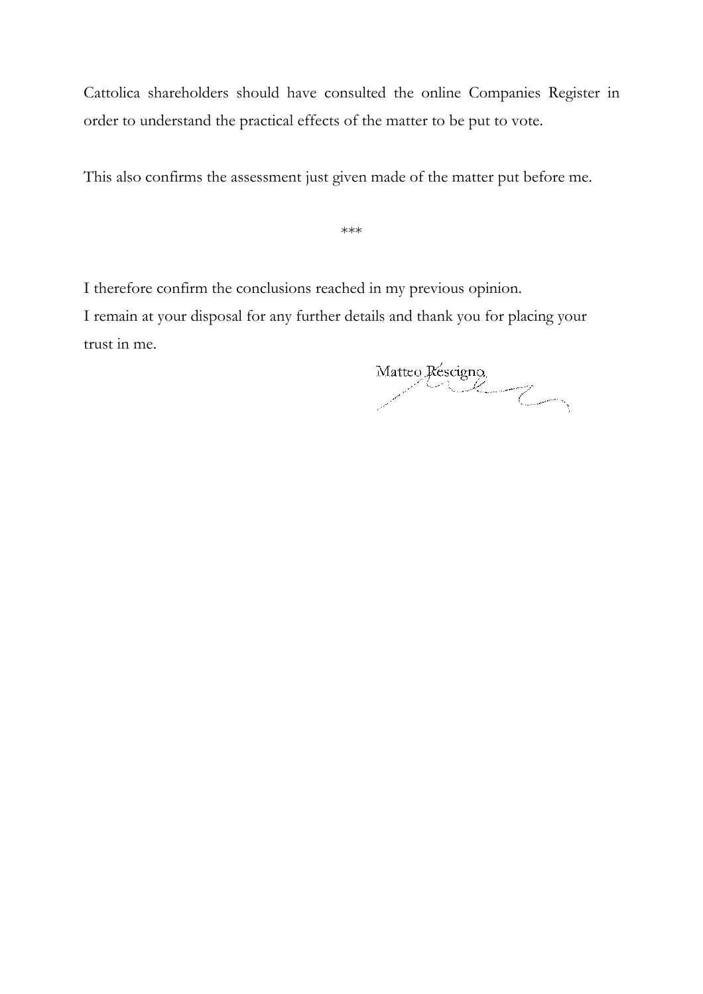Cattolica shareholders should have consulted the online Companies Register in order to understand the practical effects of the matter to be put to vote.

This also confirms the assessment just given made of the matter put before me.

\*\*\*

I therefore confirm the conclusions reached in my previous opinion.

I remain at your disposal for any further details and thank you for placing your trust in me.

Matteo Rescigno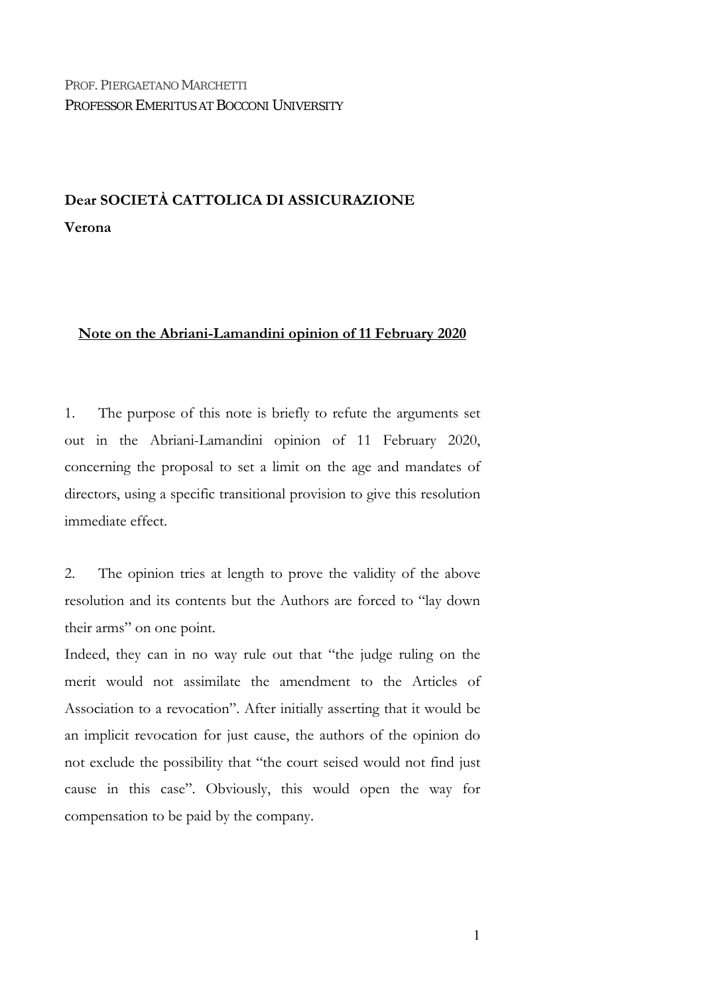# **Dear SOCIETÀ CATTOLICA DI ASSICURAZIONE Verona**

### **Note on the Abriani-Lamandini opinion of 11 February 2020**

1. The purpose of this note is briefly to refute the arguments set out in the Abriani-Lamandini opinion of 11 February 2020, concerning the proposal to set a limit on the age and mandates of directors, using a specific transitional provision to give this resolution immediate effect.

2. The opinion tries at length to prove the validity of the above resolution and its contents but the Authors are forced to "lay down their arms" on one point.

Indeed, they can in no way rule out that "the judge ruling on the merit would not assimilate the amendment to the Articles of Association to a revocation". After initially asserting that it would be an implicit revocation for just cause, the authors of the opinion do not exclude the possibility that "the court seised would not find just cause in this case". Obviously, this would open the way for compensation to be paid by the company.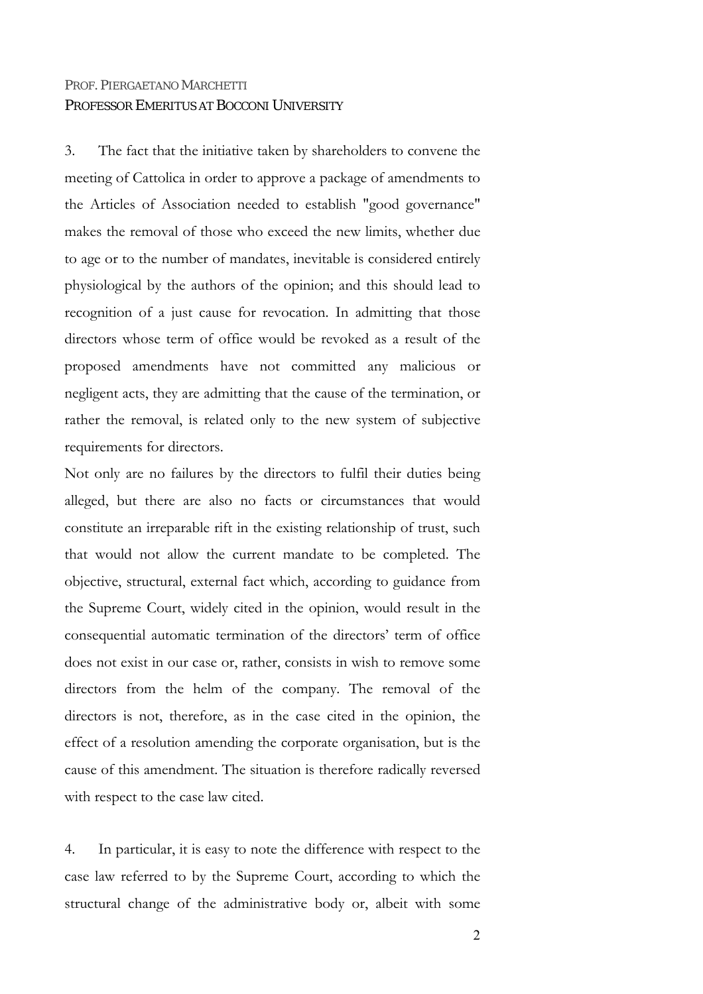3. The fact that the initiative taken by shareholders to convene the meeting of Cattolica in order to approve a package of amendments to the Articles of Association needed to establish "good governance" makes the removal of those who exceed the new limits, whether due to age or to the number of mandates, inevitable is considered entirely physiological by the authors of the opinion; and this should lead to recognition of a just cause for revocation. In admitting that those directors whose term of office would be revoked as a result of the proposed amendments have not committed any malicious or negligent acts, they are admitting that the cause of the termination, or rather the removal, is related only to the new system of subjective requirements for directors.

Not only are no failures by the directors to fulfil their duties being alleged, but there are also no facts or circumstances that would constitute an irreparable rift in the existing relationship of trust, such that would not allow the current mandate to be completed. The objective, structural, external fact which, according to guidance from the Supreme Court, widely cited in the opinion, would result in the consequential automatic termination of the directors' term of office does not exist in our case or, rather, consists in wish to remove some directors from the helm of the company. The removal of the directors is not, therefore, as in the case cited in the opinion, the effect of a resolution amending the corporate organisation, but is the cause of this amendment. The situation is therefore radically reversed with respect to the case law cited.

4. In particular, it is easy to note the difference with respect to the case law referred to by the Supreme Court, according to which the structural change of the administrative body or, albeit with some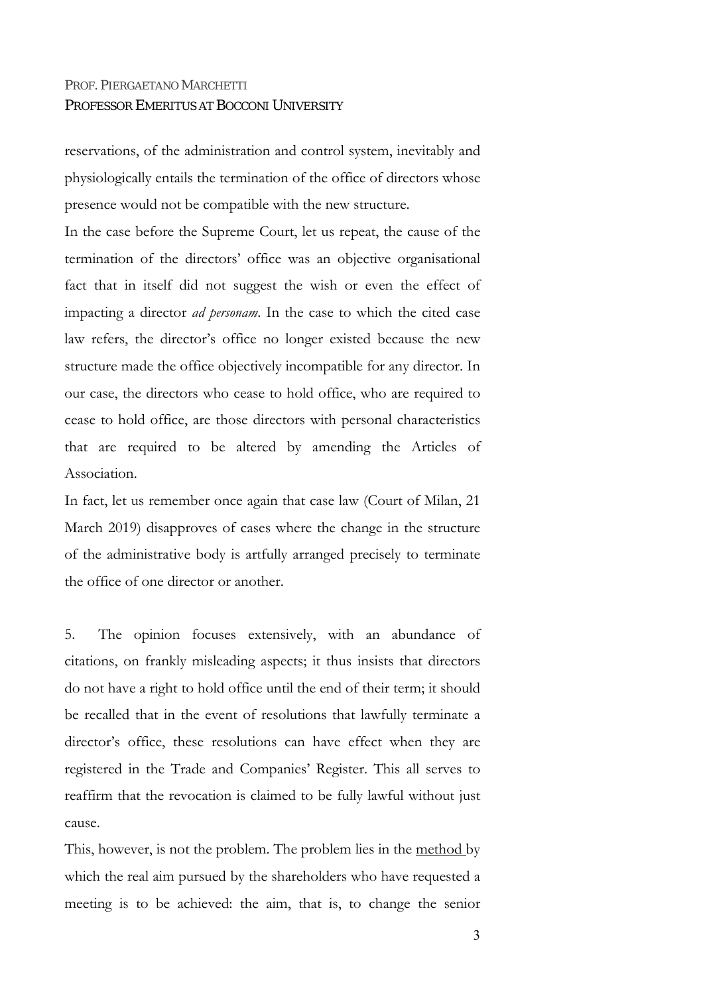reservations, of the administration and control system, inevitably and physiologically entails the termination of the office of directors whose presence would not be compatible with the new structure.

In the case before the Supreme Court, let us repeat, the cause of the termination of the directors' office was an objective organisational fact that in itself did not suggest the wish or even the effect of impacting a director *ad personam*. In the case to which the cited case law refers, the director's office no longer existed because the new structure made the office objectively incompatible for any director. In our case, the directors who cease to hold office, who are required to cease to hold office, are those directors with personal characteristics that are required to be altered by amending the Articles of Association.

In fact, let us remember once again that case law (Court of Milan, 21 March 2019) disapproves of cases where the change in the structure of the administrative body is artfully arranged precisely to terminate the office of one director or another.

5. The opinion focuses extensively, with an abundance of citations, on frankly misleading aspects; it thus insists that directors do not have a right to hold office until the end of their term; it should be recalled that in the event of resolutions that lawfully terminate a director's office, these resolutions can have effect when they are registered in the Trade and Companies' Register. This all serves to reaffirm that the revocation is claimed to be fully lawful without just cause.

This, however, is not the problem. The problem lies in the method by which the real aim pursued by the shareholders who have requested a meeting is to be achieved: the aim, that is, to change the senior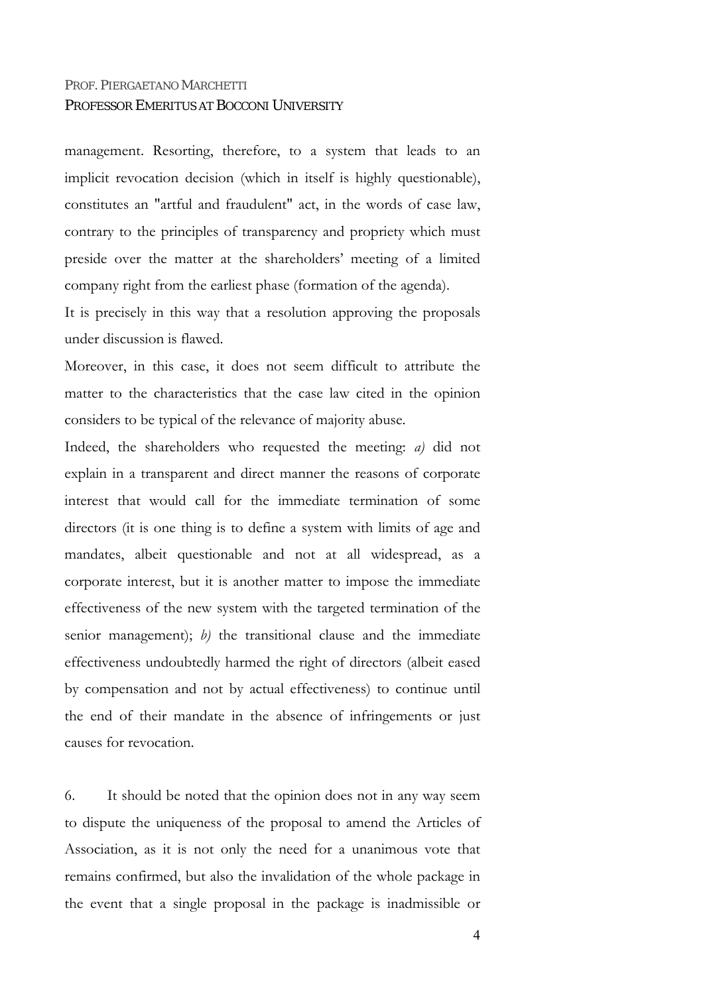management. Resorting, therefore, to a system that leads to an implicit revocation decision (which in itself is highly questionable), constitutes an "artful and fraudulent" act, in the words of case law, contrary to the principles of transparency and propriety which must preside over the matter at the shareholders' meeting of a limited company right from the earliest phase (formation of the agenda).

It is precisely in this way that a resolution approving the proposals under discussion is flawed.

Moreover, in this case, it does not seem difficult to attribute the matter to the characteristics that the case law cited in the opinion considers to be typical of the relevance of majority abuse.

Indeed, the shareholders who requested the meeting: *a)* did not explain in a transparent and direct manner the reasons of corporate interest that would call for the immediate termination of some directors (it is one thing is to define a system with limits of age and mandates, albeit questionable and not at all widespread, as a corporate interest, but it is another matter to impose the immediate effectiveness of the new system with the targeted termination of the senior management); *b)* the transitional clause and the immediate effectiveness undoubtedly harmed the right of directors (albeit eased by compensation and not by actual effectiveness) to continue until the end of their mandate in the absence of infringements or just causes for revocation.

6. It should be noted that the opinion does not in any way seem to dispute the uniqueness of the proposal to amend the Articles of Association, as it is not only the need for a unanimous vote that remains confirmed, but also the invalidation of the whole package in the event that a single proposal in the package is inadmissible or